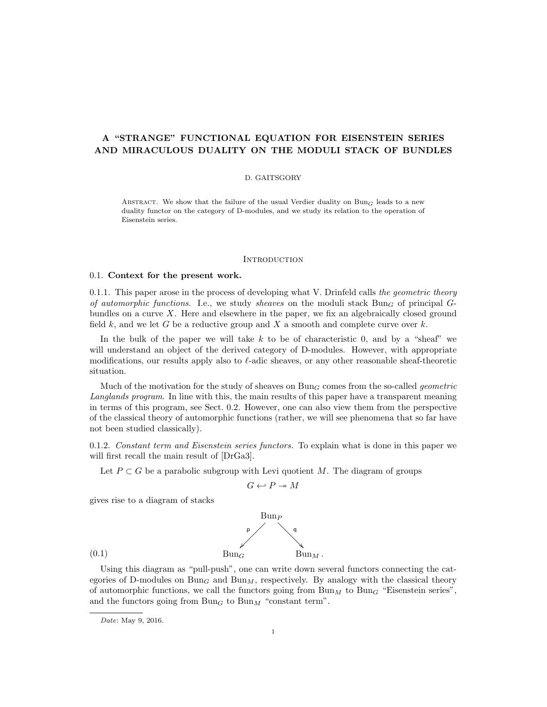# A "STRANGE" FUNCTIONAL EQUATION FOR EISENSTEIN SERIES AND MIRACULOUS DUALITY ON THE MODULI STACK OF BUNDLES

## D. GAITSGORY

ABSTRACT. We show that the failure of the usual Verdier duality on  $Bun_G$  leads to a new duality functor on the category of D-modules, and we study its relation to the operation of Eisenstein series.

### **INTRODUCTION**

### 0.1. Context for the present work.

0.1.1. This paper arose in the process of developing what V. Drinfeld calls the geometric theory of automorphic functions. I.e., we study sheaves on the moduli stack  $Bun_G$  of principal  $G$ bundles on a curve X. Here and elsewhere in the paper, we fix an algebraically closed ground field k, and we let G be a reductive group and X a smooth and complete curve over  $k$ .

In the bulk of the paper we will take  $k$  to be of characteristic 0, and by a "sheaf" we will understand an object of the derived category of D-modules. However, with appropriate modifications, our results apply also to  $\ell$ -adic sheaves, or any other reasonable sheaf-theoretic situation.

Much of the motivation for the study of sheaves on  $Bun_G$  comes from the so-called *geometric* Langlands program. In line with this, the main results of this paper have a transparent meaning in terms of this program, see Sect. 0.2. However, one can also view them from the perspective of the classical theory of automorphic functions (rather, we will see phenomena that so far have not been studied classically).

0.1.2. Constant term and Eisenstein series functors. To explain what is done in this paper we will first recall the main result of [DrGa3].

Let  $P \subset G$  be a parabolic subgroup with Levi quotient M. The diagram of groups

$$
G \hookleftarrow P \twoheadrightarrow M
$$

gives rise to a diagram of stacks



Using this diagram as "pull-push", one can write down several functors connecting the categories of D-modules on  $Bun_G$  and  $Bun_M$ , respectively. By analogy with the classical theory of automorphic functions, we call the functors going from  $\text{Bun}_M$  to  $\text{Bun}_G$  "Eisenstein series", and the functors going from  $Bun_G$  to  $Bun_M$  "constant term".

Date: May 9, 2016.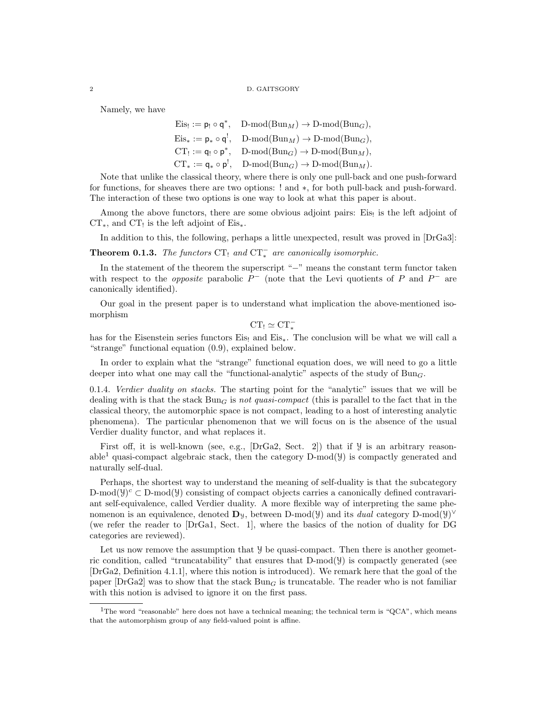#### 2 D. GAITSGORY

Namely, we have

 $Eis_! := \mathsf{p}_! \circ \mathsf{q}^*, \quad D\text{-mod}(Bun_M) \to D\text{-mod}(Bun_G),$  $Eis_* := \mathsf{p}_* \circ \mathsf{q}^!, \quad D\text{-mod}(Bun_M) \to D\text{-mod}(Bun_G),$  $CT_! := \mathsf{q}_! \circ \mathsf{p}^*, \quad D\text{-mod}(Bun_G) \to D\text{-mod}(Bun_M),$  $CT_* := \mathsf{q}_* \circ \mathsf{p}^!, \quad D\text{-mod}(Bun_G) \to D\text{-mod}(Bun_M).$ 

Note that unlike the classical theory, where there is only one pull-back and one push-forward for functions, for sheaves there are two options: ! and ∗, for both pull-back and push-forward. The interaction of these two options is one way to look at what this paper is about.

Among the above functors, there are some obvious adjoint pairs: Eis! is the left adjoint of  $CT_*$ , and  $CT_!$  is the left adjoint of  $Eis_*$ .

In addition to this, the following, perhaps a little unexpected, result was proved in [DrGa3]:

**Theorem 0.1.3.** The functors  $CT_1$  and  $CT_*^-$  are canonically isomorphic.

In the statement of the theorem the superscript "−" means the constant term functor taken with respect to the *opposite* parabolic  $P^-$  (note that the Levi quotients of P and  $P^-$  are canonically identified).

Our goal in the present paper is to understand what implication the above-mentioned isomorphism

 $CT_! \simeq CT_*^-$ 

has for the Eisenstein series functors Eis! and Eis<sub>∗</sub>. The conclusion will be what we will call a "strange" functional equation (0.9), explained below.

In order to explain what the "strange" functional equation does, we will need to go a little deeper into what one may call the "functional-analytic" aspects of the study of  $Bun<sub>G</sub>$ .

0.1.4. Verdier duality on stacks. The starting point for the "analytic" issues that we will be dealing with is that the stack  $Bun_G$  is not quasi-compact (this is parallel to the fact that in the classical theory, the automorphic space is not compact, leading to a host of interesting analytic phenomena). The particular phenomenon that we will focus on is the absence of the usual Verdier duality functor, and what replaces it.

First off, it is well-known (see, e.g., [DrGa2, Sect. 2]) that if  $\mathcal Y$  is an arbitrary reasonable<sup>1</sup> quasi-compact algebraic stack, then the category  $D-mod(y)$  is compactly generated and naturally self-dual.

Perhaps, the shortest way to understand the meaning of self-duality is that the subcategory D-mod( $y$ )<sup>c</sup>  $\subset$  D-mod( $y$ ) consisting of compact objects carries a canonically defined contravariant self-equivalence, called Verdier duality. A more flexible way of interpreting the same phenomenon is an equivalence, denoted  $\mathbf{D}_y$ , between D-mod( $\mathcal{Y}$ ) and its *dual* category D-mod( $\mathcal{Y}$ )<sup> $\vee$ </sup> (we refer the reader to [DrGa1, Sect. 1], where the basics of the notion of duality for DG categories are reviewed).

Let us now remove the assumption that  $\mathcal{Y}$  be quasi-compact. Then there is another geometric condition, called "truncatability" that ensures that  $D\text{-mod}(y)$  is compactly generated (see [DrGa2, Definition 4.1.1], where this notion is introduced). We remark here that the goal of the paper  $\left|\text{DrGa2}\right|$  was to show that the stack  $Bun_G$  is truncatable. The reader who is not familiar with this notion is advised to ignore it on the first pass.

<sup>&</sup>lt;sup>1</sup>The word "reasonable" here does not have a technical meaning; the technical term is "QCA", which means that the automorphism group of any field-valued point is affine.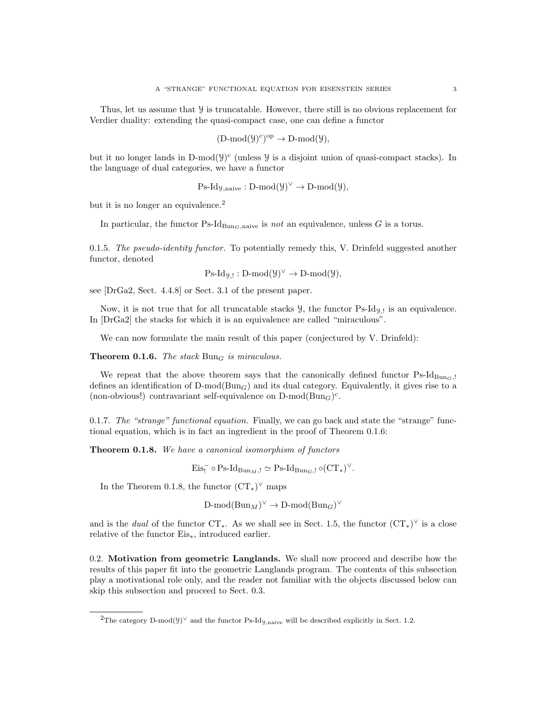Thus, let us assume that  $\mathcal Y$  is truncatable. However, there still is no obvious replacement for Verdier duality: extending the quasi-compact case, one can define a functor

$$
(\mathrm{D\text{-}mod}(\mathcal{Y})^c)^{op}\to \mathrm{D\text{-}mod}(\mathcal{Y}),
$$

but it no longer lands in D-mod $(y)^c$  (unless  $y$  is a disjoint union of quasi-compact stacks). In the language of dual categories, we have a functor

$$
Ps\text{-}Id_{\mathcal{Y},naive}:D\text{-mod}(\mathcal{Y})^{\vee}\to D\text{-mod}(\mathcal{Y}),
$$

but it is no longer an equivalence.<sup>2</sup>

In particular, the functor  $\text{Ps-Id}_{\text{Bun}_G,\text{naive}}$  is not an equivalence, unless G is a torus.

0.1.5. The pseudo-identity functor. To potentially remedy this, V. Drinfeld suggested another functor, denoted

 $\text{Ps-Id}_{\mathcal{Y},!}: \text{D-mod}(\mathcal{Y})^{\vee} \to \text{D-mod}(\mathcal{Y}),$ 

see [DrGa2, Sect. 4.4.8] or Sect. 3.1 of the present paper.

Now, it is not true that for all truncatable stacks  $\mathcal{Y}$ , the functor Ps-Id $y_i$  is an equivalence. In [DrGa2] the stacks for which it is an equivalence are called "miraculous".

We can now formulate the main result of this paper (conjectured by V. Drinfeld):

**Theorem 0.1.6.** The stack  $\text{Bun}_G$  is miraculous.

We repeat that the above theorem says that the canonically defined functor  $\text{Ps-Id}_{\text{Buncl.}}$ defines an identification of  $D\text{-mod}(Bun_G)$  and its dual category. Equivalently, it gives rise to a (non-obvious!) contravariant self-equivalence on  $D\text{-mod}(Bun_G)^c$ .

0.1.7. The "strange" functional equation. Finally, we can go back and state the "strange" functional equation, which is in fact an ingredient in the proof of Theorem 0.1.6:

Theorem 0.1.8. We have a canonical isomorphism of functors

 $\mathrm{Eis}_{!}^{-} \circ \mathrm{Ps}\text{-}\mathrm{Id}_{\mathrm{Bun}_{M},!} \simeq \mathrm{Ps}\text{-}\mathrm{Id}_{\mathrm{Bun}_{G},!} \circ (\mathrm{CT}_{*})^{\vee}.$ 

In the Theorem 0.1.8, the functor  $(\text{CT}_{*})^{\vee}$  maps

 $\text{D-mod}(\text{Bun}_M)^{\vee} \to \text{D-mod}(\text{Bun}_G)^{\vee}$ 

and is the *dual* of the functor  $CT_*$ . As we shall see in Sect. 1.5, the functor  $(CT_*)^{\vee}$  is a close relative of the functor Eis∗, introduced earlier.

0.2. Motivation from geometric Langlands. We shall now proceed and describe how the results of this paper fit into the geometric Langlands program. The contents of this subsection play a motivational role only, and the reader not familiar with the objects discussed below can skip this subsection and proceed to Sect. 0.3.

<sup>&</sup>lt;sup>2</sup>The category D-mod( $\mathcal{Y}$ )<sup> $\lor$ </sup> and the functor Ps-Id<sub>*y*,naive</sub> will be described explicitly in Sect. 1.2.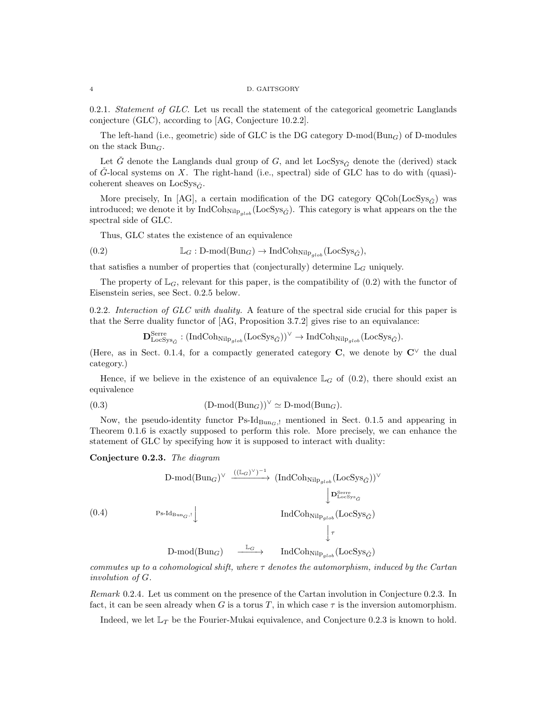0.2.1. Statement of GLC. Let us recall the statement of the categorical geometric Langlands conjecture (GLC), according to [AG, Conjecture 10.2.2].

The left-hand (i.e., geometric) side of GLC is the DG category  $D\text{-mod}(Bun_G)$  of  $D\text{-modules}$ on the stack  $Bun_G$ .

Let  $\check{G}$  denote the Langlands dual group of G, and let LocSys<sub>G</sub><sup> $\check{G}$ </sup> denote the (derived) stack of  $\check{G}$ -local systems on X. The right-hand (i.e., spectral) side of GLC has to do with (quasi)coherent sheaves on LocSys $\zeta$ .

More precisely, In [AG], a certain modification of the DG category  $QCoh(LocSys_{\tilde{G}})$  was introduced; we denote it by  $IndCoh_{NilP_{alob}}(LocSys_{\check{G}})$ . This category is what appears on the the spectral side of GLC.

Thus, GLC states the existence of an equivalence

(0.2) 
$$
\mathbb{L}_G : D\text{-mod}(Bun_G) \to \text{IndCoh}_{\text{Nilp}_{glob}}(\text{LocSys}_{\check{G}}),
$$

that satisfies a number of properties that (conjecturally) determine  $\mathbb{L}_G$  uniquely.

The property of  $\mathbb{L}_G$ , relevant for this paper, is the compatibility of  $(0.2)$  with the functor of Eisenstein series, see Sect. 0.2.5 below.

0.2.2. Interaction of  $GLC$  with duality. A feature of the spectral side crucial for this paper is that the Serre duality functor of [AG, Proposition 3.7.2] gives rise to an equivalance:

 $\mathbf{D}_{\text{LocSys}_{\check{G}}}^{\text{Serre}}: (\text{IndCohn}_{\text{Nilp}_{glob}}(\text{LocSys}_{\check{G}}))^{\vee} \to \text{IndCohn}_{\text{Nilp}_{glob}}(\text{LocSys}_{\check{G}}).$ 

(Here, as in Sect. 0.1.4, for a compactly generated category C, we denote by  $\mathbb{C}^{\vee}$  the dual category.)

Hence, if we believe in the existence of an equivalence  $\mathbb{L}_G$  of (0.2), there should exist an equivalence

(0.3) 
$$
(\text{D-mod}(\text{Bun}_G))^{\vee} \simeq \text{D-mod}(\text{Bun}_G).
$$

Now, the pseudo-identity functor  $Ps-Id_{Bun_G, l}$  mentioned in Sect. 0.1.5 and appearing in Theorem 0.1.6 is exactly supposed to perform this role. More precisely, we can enhance the statement of GLC by specifying how it is supposed to interact with duality:

Conjecture 0.2.3. The diagram

$$
(0.4) \qquad \qquad \text{D-mod(Bun}_G)^{\vee} \xrightarrow{((\mathbb{L}_G)^{\vee})^{-1}} (\text{IndCohn}_{\mathbb{N}\text{lp}_{glob}}(\text{LocSys}_{\check{G}}))^{\vee}
$$
\n
$$
\downarrow \mathbf{D}_{\text{LocSys}_{\check{G}}}^{\text{Serre}}
$$
\n
$$
(0.4) \qquad \qquad \text{Ps-Id}_{\text{Bun}_G,!}\downarrow \qquad \qquad \text{IndCohn}_{\mathbb{N}\text{lp}_{glob}}(\text{LocSys}_{\check{G}})
$$
\n
$$
\downarrow \tau
$$
\n
$$
\text{D-mod(Bun}_G) \xrightarrow{\mathbb{L}_G} \qquad \text{IndCohn}_{\mathbb{N}\text{lp}_{glob}}(\text{LocSys}_{\check{G}})
$$

commutes up to a cohomological shift, where  $\tau$  denotes the automorphism, induced by the Cartan involution of G.

Remark 0.2.4. Let us comment on the presence of the Cartan involution in Conjecture 0.2.3. In fact, it can be seen already when G is a torus T, in which case  $\tau$  is the inversion automorphism.

Indeed, we let  $\mathbb{L}_T$  be the Fourier-Mukai equivalence, and Conjecture 0.2.3 is known to hold.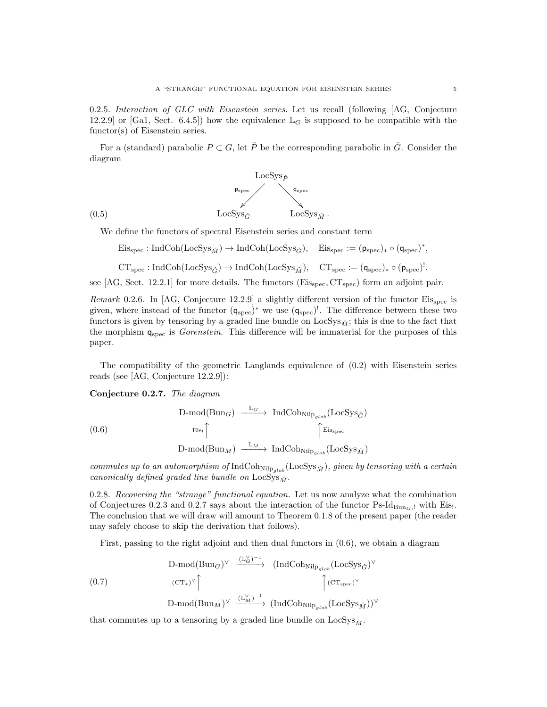0.2.5. Interaction of GLC with Eisenstein series. Let us recall (following [AG, Conjecture 12.2.9] or [Ga1, Sect. 6.4.5]) how the equivalence  $\mathbb{L}_G$  is supposed to be compatible with the functor(s) of Eisenstein series.

For a (standard) parabolic  $P \subset G$ , let P<sup> $\geq$ </sup> be the corresponding parabolic in  $\check{G}$ . Consider the diagram



We define the functors of spectral Eisenstein series and constant term

 $\mathrm{Eis}_{\mathrm{spec}}: \mathrm{IndCoh}(\mathrm{LocSys}_{\check{M}}) \to \mathrm{IndCoh}(\mathrm{LocSys}_{\check{G}}), \quad \mathrm{Eis}_{\mathrm{spec}}:=(\mathsf{p}_{\mathrm{spec}})_*\circ (\mathsf{q}_{\mathrm{spec}})^*,$ 

$$
\operatorname{CT}_{\operatorname{spec}}:\operatorname{IndCoh}(\operatorname{LocSys}_{\check G})\to\operatorname{IndCoh}(\operatorname{LocSys}_{\check M}),\quad \operatorname{CT}_{\operatorname{spec}}:=(\mathsf{q}_{\operatorname{spec}})_*\circ(\mathsf{p}_{\operatorname{spec}})^!.
$$

see [AG, Sect. 12.2.1] for more details. The functors ( $Eis_{spec}, CT_{spec}$ ) form an adjoint pair.

Remark 0.2.6. In [AG, Conjecture 12.2.9] a slightly different version of the functor  $Eis_{spec}$  is given, where instead of the functor  $(q_{\text{spec}})^*$  we use  $(q_{\text{spec}})^!$ . The difference between these two functors is given by tensoring by a graded line bundle on LocSys<sub> $\tilde{M}$ </sub>; this is due to the fact that the morphism  $q_{spec}$  is *Gorenstein*. This difference will be immaterial for the purposes of this paper.

The compatibility of the geometric Langlands equivalence of (0.2) with Eisenstein series reads (see [AG, Conjecture 12.2.9]):

Conjecture 0.2.7. The diagram

$$
\begin{array}{ccc}\n\text{D-mod(Bun}_G) & \xrightarrow{\mathbb{L}_G} \text{IndCohn}_{\text{ilp}_{glob}}(\text{LocSys}_{\check{G}}) \\
& \xrightarrow{\mathbb{E}\text{is}_!} \uparrow & \uparrow \text{E}\text{is}_{\text{spec}} \\
& \text{D-mod(Bun}_M) & \xrightarrow{\mathbb{L}_M} \text{IndCohn}_{\text{ilp}_{glob}}(\text{LocSys}_{\check{M}})\n\end{array}
$$

commutes up to an automorphism of  $\text{IndCoh}_{\text{Nilp}_{alob}}(\text{LocSys}_{\check{M}})$ , given by tensoring with a certain canonically defined graded line bundle on  $\text{LocSys}_{\check{M}}$ .

0.2.8. Recovering the "strange" functional equation. Let us now analyze what the combination of Conjectures 0.2.3 and 0.2.7 says about the interaction of the functor  $\text{Ps-Id}_{\text{Bun}_G,}$ ! with Eis! The conclusion that we will draw will amount to Theorem 0.1.8 of the present paper (the reader may safely choose to skip the derivation that follows).

First, passing to the right adjoint and then dual functors in (0.6), we obtain a diagram

$$
(0.7) \quad D-mod(Bun_G)^{\vee} \xrightarrow{(\mathbb{L}_G^{\vee})^{-1}} (IndCoh_{\text{Nilp}_{glob}}(LocSys_{\check{G}})^{\vee} \n(CT_*)^{\vee} \quad \uparrow (CT_{\text{spec}})^{\vee} \nD-mod(Bun_M)^{\vee} \xrightarrow{(\mathbb{L}_M^{\vee})^{-1}} (IndCoh_{\text{Nilp}_{glob}}(LocSys_{\check{M}}))^{\vee}
$$

that commutes up to a tensoring by a graded line bundle on  $LocSys_{\check{M}}$ .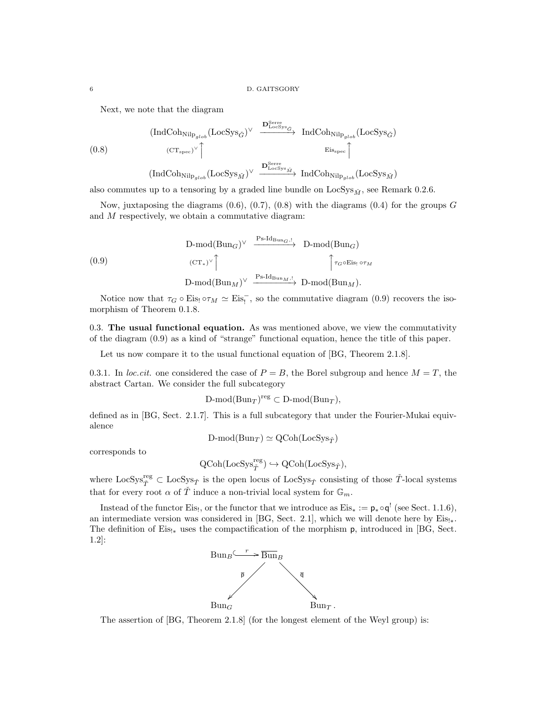Next, we note that the diagram

$$
\begin{array}{ccc}\n\text{(IndCoh}_{\text{Nilp}_{glob}}(\text{LocSys}_{\check{G}})^{\vee} & \xrightarrow{\mathbf{D}_{\text{LocSys}}^{\text{Serre}}}\text{IndCoh}_{\text{Nilp}_{glob}}(\text{LocSys}_{\check{G}}) \\
\text{(CT}_{\text{spec}})^{\vee} \uparrow & & \xrightarrow{\text{Eis}_{\text{spec}}} \uparrow \\
\text{(IndCoh}_{\text{Nilp}_{glob}}(\text{LocSys}_{\check{M}})^{\vee} & \xrightarrow{\mathbf{D}_{\text{LocSys}_{\check{M}}^{\text{Serre}}}} \text{IndCoh}_{\text{Nilp}_{glob}}(\text{LocSys}_{\check{M}})\n\end{array}
$$

also commutes up to a tensoring by a graded line bundle on  $LocSys_{\check{M}}$ , see Remark 0.2.6.

Now, juxtaposing the diagrams  $(0.6), (0.7), (0.8)$  with the diagrams  $(0.4)$  for the groups G and M respectively, we obtain a commutative diagram:

$$
(0.9) \quad D-mod(Bun_G)^{\vee} \xrightarrow{Ps-Id_{Bun_G, !}} D-mod(Bun_G)
$$
\n
$$
(CT_*)^{\vee} \uparrow \qquad \qquad \uparrow \tau_G \circ Eis_! \circ \tau_M
$$
\n
$$
D-mod(Bun_M)^{\vee} \xrightarrow{Ps-Id_{Bun_M, !}} D-mod(Bun_M).
$$

Notice now that  $\tau_G \circ Eis_! \circ \tau_M \simeq Eis_!$ , so the commutative diagram (0.9) recovers the isomorphism of Theorem 0.1.8.

0.3. The usual functional equation. As was mentioned above, we view the commutativity of the diagram (0.9) as a kind of "strange" functional equation, hence the title of this paper.

Let us now compare it to the usual functional equation of [BG, Theorem 2.1.8].

0.3.1. In loc.cit. one considered the case of  $P = B$ , the Borel subgroup and hence  $M = T$ , the abstract Cartan. We consider the full subcategory

 $D\text{-mod}(Bun_T)^\text{reg} \subset D\text{-mod}(Bun_T),$ 

defined as in [BG, Sect. 2.1.7]. This is a full subcategory that under the Fourier-Mukai equivalence

$$
D\text{-mod}(Bun_T) \simeq \text{QCoh}(\text{LocSys}_{\check{T}})
$$

corresponds to

$$
\text{QCoh}(\text{LocSys}_{\check{T}}^{\text{reg}}) \hookrightarrow \text{QCoh}(\text{LocSys}_{\check{T}}),
$$

where  $\text{LocSys}_{\check{T}}^{\text{reg}} \subset \text{LocSys}_{\check{T}}$  is the open locus of  $\text{LocSys}_{\check{T}}$  consisting of those  $\check{T}$ -local systems that for every root  $\alpha$  of  $\check{T}$  induce a non-trivial local system for  $\mathbb{G}_m$ .

Instead of the functor Eis<sub>!</sub>, or the functor that we introduce as  $E$ is<sub>\*</sub> :=  $p_* \circ q'$  (see Sect. 1.1.6), an intermediate version was considered in [BG, Sect. 2.1], which we will denote here by  $Eis_{!*}$ . The definition of Eis!<sub>\*</sub> uses the compactification of the morphism p, introduced in [BG, Sect. 1.2]:



The assertion of [BG, Theorem 2.1.8] (for the longest element of the Weyl group) is: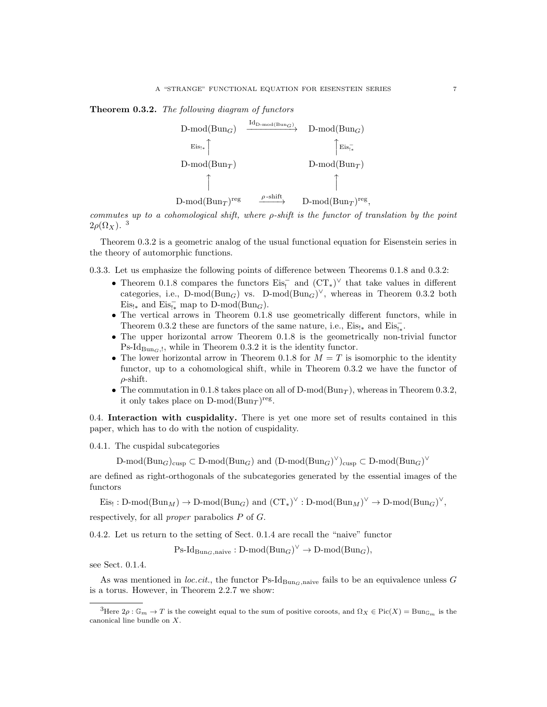Theorem 0.3.2. The following diagram of functors



commutes up to a cohomological shift, where ρ-shift is the functor of translation by the point  $2\rho(\Omega_X)$ .<sup>3</sup>

Theorem 0.3.2 is a geometric analog of the usual functional equation for Eisenstein series in the theory of automorphic functions.

0.3.3. Let us emphasize the following points of difference between Theorems 0.1.8 and 0.3.2:

- Theorem 0.1.8 compares the functors  $Eis_!^-$  and  $(CT_*)^{\vee}$  that take values in different categories, i.e., D-mod( $Bun_G$ ) vs. D-mod( $Bun_G$ )<sup> $\vee$ </sup>, whereas in Theorem 0.3.2 both Eis<sub>!∗</sub> and Eis<sub>!∗</sub> map to D-mod(Bun<sub>G</sub>).
- The vertical arrows in Theorem 0.1.8 use geometrically different functors, while in Theorem 0.3.2 these are functors of the same nature, i.e.,  $\mathrm{Eis}_{! *}$  and  $\mathrm{Eis}_{! *}^{-}$
- The upper horizontal arrow Theorem 0.1.8 is the geometrically non-trivial functor  $\text{Ps-Id}_{\text{Bun}_G,l}$ , while in Theorem 0.3.2 it is the identity functor.
- The lower horizontal arrow in Theorem 0.1.8 for  $M = T$  is isomorphic to the identity functor, up to a cohomological shift, while in Theorem 0.3.2 we have the functor of  $\rho$ -shift.
- The commutation in 0.1.8 takes place on all of  $D\text{-mod}(Bun_T)$ , whereas in Theorem 0.3.2, it only takes place on  $D\text{-mod}(Bun_T)^\text{reg}$ .

0.4. Interaction with cuspidality. There is yet one more set of results contained in this paper, which has to do with the notion of cuspidality.

0.4.1. The cuspidal subcategories

D-mod(Bun<sub>G</sub>)<sub>cusp</sub>  $\subset$  D-mod(Bun<sub>G</sub>) and (D-mod(Bun<sub>G</sub>)<sup> $\vee$ </sup>)<sub>cusp</sub>  $\subset$  D-mod(Bun<sub>G</sub>)<sup> $\vee$ </sup>

are defined as right-orthogonals of the subcategories generated by the essential images of the functors

Eis<sub>!</sub>: D-mod(Bun<sub>M</sub>)  $\rightarrow$  D-mod(Bun<sub>G</sub>) and  $(CT_*)^{\vee}$ : D-mod(Bun<sub>M</sub>)<sup> $\vee$ </sup>  $\rightarrow$  D-mod(Bun<sub>G</sub>)<sup> $\vee$ </sup>,

respectively, for all proper parabolics P of G.

0.4.2. Let us return to the setting of Sect. 0.1.4 are recall the "naive" functor

 $\text{Ps-Id}_{\text{Bun}_G,\text{naive}} : \text{D-mod}(\text{Bun}_G)^{\vee} \to \text{D-mod}(\text{Bun}_G),$ 

see Sect. 0.1.4.

As was mentioned in loc.cit., the functor Ps-Id<sub>BunG</sub>,naive fails to be an equivalence unless G is a torus. However, in Theorem 2.2.7 we show:

<sup>&</sup>lt;sup>3</sup>Here  $2\rho$ :  $\mathbb{G}_m \to T$  is the coweight equal to the sum of positive coroots, and  $\Omega_X \in \text{Pic}(X) = \text{Bun}_{\mathbb{G}_m}$  is the canonical line bundle on X.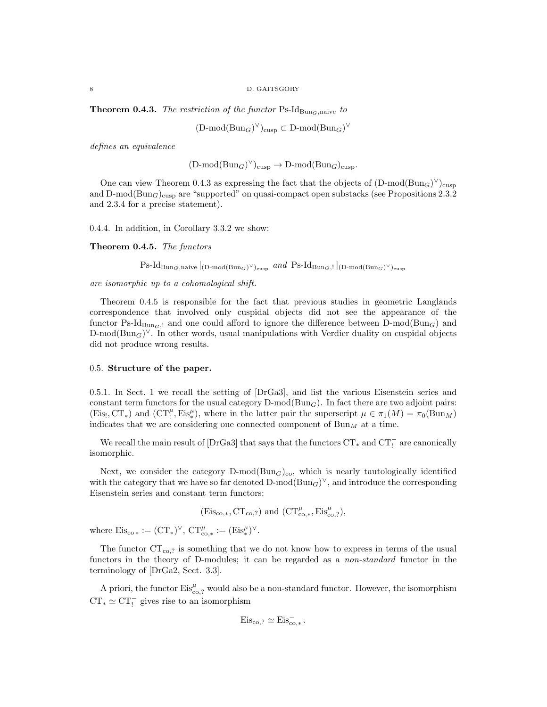**Theorem 0.4.3.** The restriction of the functor Ps-Id<sub>BunG</sub>,naive to

 $(D\text{-mod}(Bun_G)^\vee)_{\text{cusp}} \subset D\text{-mod}(Bun_G)^\vee$ 

defines an equivalence

$$
(\mathrm{D\text{-}mod}(\mathrm{Bun}_G)^{\vee})_{\mathrm{cusp}} \to \mathrm{D\text{-}mod}(\mathrm{Bun}_G)_{\mathrm{cusp}}.
$$

One can view Theorem 0.4.3 as expressing the fact that the objects of  $(D\text{-mod}(Bun_G)^{\vee})_{\text{cusp}}$ and D-mod( $Bun_G$ )<sub>cusp</sub> are "supported" on quasi-compact open substacks (see Propositions 2.3.2 and 2.3.4 for a precise statement).

0.4.4. In addition, in Corollary 3.3.2 we show:

Theorem 0.4.5. The functors

 $\text{Ps-Id}_{\text{Bun}_G,\text{naive}}\vert_{(\text{D-mod}(\text{Bun}_G)^\vee)_{\text{cusp}}} \text{ and } \text{Ps-Id}_{\text{Bun}_G,!}\vert_{(\text{D-mod}(\text{Bun}_G)^\vee)_{\text{cusp}}}$ 

are isomorphic up to a cohomological shift.

Theorem 0.4.5 is responsible for the fact that previous studies in geometric Langlands correspondence that involved only cuspidal objects did not see the appearance of the functor Ps-Id<sub>BunG</sub>, and one could afford to ignore the difference between D-mod(Bun<sub>G</sub>) and  $\text{D-mod}(\text{Bun}_G)^{\vee}$ . In other words, usual manipulations with Verdier duality on cuspidal objects did not produce wrong results.

### 0.5. Structure of the paper.

0.5.1. In Sect. 1 we recall the setting of [DrGa3], and list the various Eisenstein series and constant term functors for the usual category  $D\text{-mod}(Bun_G)$ . In fact there are two adjoint pairs:  $(Eis_!, CT_*)$  and  $(CT_!, 'Eis_*''),$  where in the latter pair the superscript  $\mu \in \pi_1(M) = \pi_0(Bun_M)$ indicates that we are considering one connected component of  $\text{Bun}_M$  at a time.

We recall the main result of  $[DrGa3]$  that says that the functors  $CT_*$  and  $CT_!^-$  are canonically isomorphic.

Next, we consider the category  $D\text{-mod}(Bun_G)_{co}$ , which is nearly tautologically identified with the category that we have so far denoted  $D\text{-mod}(Bun_G)^{\vee}$ , and introduce the corresponding Eisenstein series and constant term functors:

$$
(\mathrm{Eis}_{\mathrm{co},*},\mathrm{CT}_{\mathrm{co},?}) \text{ and } (\mathrm{CT}^\mu_{\mathrm{co},*},\mathrm{Eis}^\mu_{\mathrm{co},?}),
$$

where  $\mathrm{Eis}_{\mathrm{co}\,*}:=(\mathrm{CT}_*)^\vee, \, \mathrm{CT}^\mu_{\mathrm{co},*}:=(\mathrm{Eis}^\mu_*)^\vee.$ 

The functor  $CT_{\text{co},?}$  is something that we do not know how to express in terms of the usual functors in the theory of D-modules; it can be regarded as a non-standard functor in the terminology of [DrGa2, Sect. 3.3].

A priori, the functor  $\text{Eis}_{\text{co},2}^{\mu}$  would also be a non-standard functor. However, the isomorphism  $CT_* \simeq CT_!$  gives rise to an isomorphism

$$
Eis_{co,?} \simeq Eis_{co,*}^-.
$$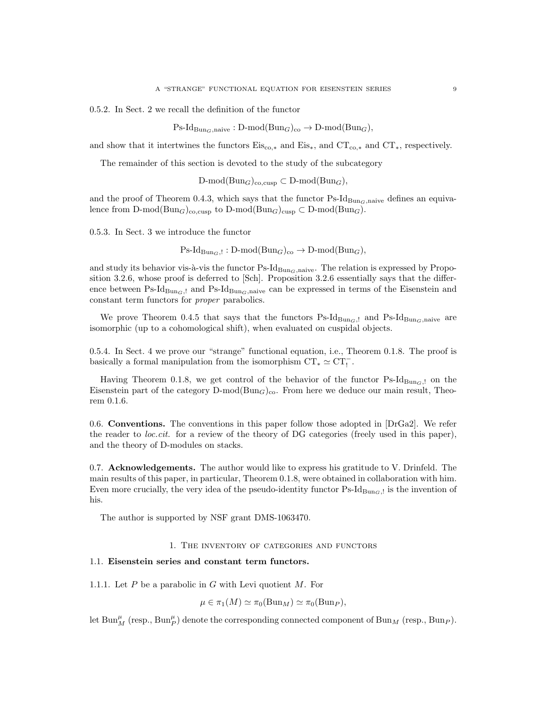0.5.2. In Sect. 2 we recall the definition of the functor

 $\text{Ps-Id}_{\text{Bun}_G,\text{naive}} : \text{D-mod}(\text{Bun}_G)_{\text{co}} \to \text{D-mod}(\text{Bun}_G),$ 

and show that it intertwines the functors  $Eis_{\text{co},*}$  and  $Eis_*,$  and  $CT_*$ , respectively.

The remainder of this section is devoted to the study of the subcategory

D-mod(Bun<sub>G</sub>)<sub>co,cusp</sub>  $\subset$  D-mod(Bun<sub>G</sub>),

and the proof of Theorem 0.4.3, which says that the functor  $\text{Ps-Id}_{\text{Bun}_G,\text{naive}}$  defines an equivalence from D-mod( $\text{Bun}_G$ )<sub>co,cusp</sub> to D-mod( $\text{Bun}_G$ )<sub>cusp</sub>  $\subset$  D-mod( $\text{Bun}_G$ ).

0.5.3. In Sect. 3 we introduce the functor

 $\text{Ps-Id}_{\text{Bun}_G,!}: \text{D-mod}(\text{Bun}_G)_{\text{co}} \to \text{D-mod}(\text{Bun}_G),$ 

and study its behavior vis- $\grave{a}$ -vis the functor Ps-Id $_{\text{Bun}_G,\text{naive}}$ . The relation is expressed by Proposition 3.2.6, whose proof is deferred to [Sch]. Proposition 3.2.6 essentially says that the difference between Ps-Id<sub>BunG</sub>,! and Ps-Id<sub>BunG</sub>,naive can be expressed in terms of the Eisenstein and constant term functors for proper parabolics.

We prove Theorem 0.4.5 that says that the functors  $\text{Ps-Id}_{\text{Bun}_G,1}$  and  $\text{Ps-Id}_{\text{Bun}_G,\text{naive}}$  are isomorphic (up to a cohomological shift), when evaluated on cuspidal objects.

0.5.4. In Sect. 4 we prove our "strange" functional equation, i.e., Theorem 0.1.8. The proof is basically a formal manipulation from the isomorphism  $\mathrm{CT}_*\simeq \mathrm{CT}_!^-$  .

Having Theorem 0.1.8, we get control of the behavior of the functor  $\text{Ps-Id}_{\text{Bun}_G,l}$  on the Eisenstein part of the category  $D\text{-mod}(Bun_G)_{\text{co}}$ . From here we deduce our main result, Theorem 0.1.6.

0.6. Conventions. The conventions in this paper follow those adopted in [DrGa2]. We refer the reader to *loc.cit.* for a review of the theory of DG categories (freely used in this paper), and the theory of D-modules on stacks.

0.7. Acknowledgements. The author would like to express his gratitude to V. Drinfeld. The main results of this paper, in particular, Theorem 0.1.8, were obtained in collaboration with him. Even more crucially, the very idea of the pseudo-identity functor  $\text{Ps-Id}_{\text{Bun}_G,l}$  is the invention of his.

The author is supported by NSF grant DMS-1063470.

### 1. The inventory of categories and functors

# 1.1. Eisenstein series and constant term functors.

1.1.1. Let  $P$  be a parabolic in  $G$  with Levi quotient  $M$ . For

$$
\mu \in \pi_1(M) \simeq \pi_0(\mathrm{Bun}_M) \simeq \pi_0(\mathrm{Bun}_P),
$$

let  $\text{Bun}_M^{\mu}$  (resp.,  $\text{Bun}_P^{\mu}$ ) denote the corresponding connected component of  $\text{Bun}_M$  (resp.,  $\text{Bun}_P$ ).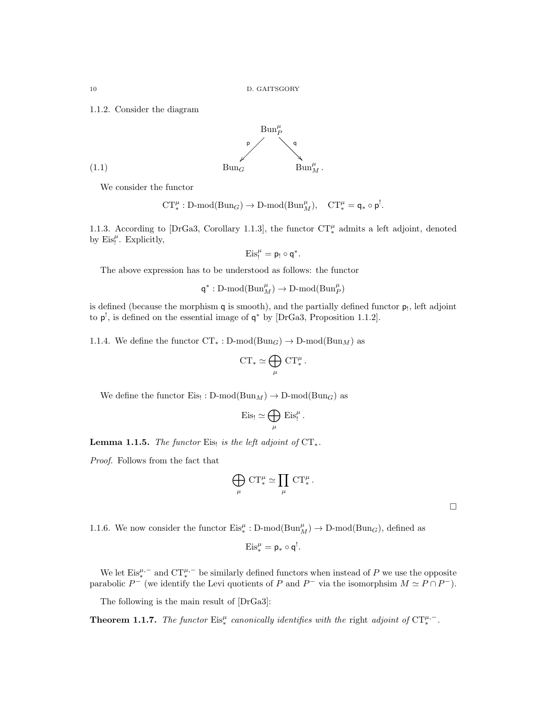1.1.2. Consider the diagram



We consider the functor

$$
\mathrm{CT}^\mu_*:\operatorname{D-mod}(\mathrm{Bun}_G)\to\operatorname{D-mod}(\mathrm{Bun}_M^\mu),\quad \mathrm{CT}^\mu_*=\mathsf{q}_*\circ\mathsf{p}^!.
$$

1.1.3. According to [DrGa3, Corollary 1.1.3], the functor  $CT_*^{\mu}$  admits a left adjoint, denoted by  $\mathrm{Eis}_!^{\mu}$ . Explicitly,

$$
\mathrm{Eis}^{\mu}_{!}=\mathsf{p}_{!}\circ\mathsf{q}^*.
$$

The above expression has to be understood as follows: the functor

 $\mathsf{q}^*:\mathsf{D}\text{-mod}(\mathsf{Bun}_M^{\mu})\to\mathsf{D}\text{-mod}(\mathsf{Bun}_P^{\mu})$ 

is defined (because the morphism  $q$  is smooth), and the partially defined functor  $p_!$ , left adjoint to  $p^!$ , is defined on the essential image of  $q^*$  by [DrGa3, Proposition 1.1.2].

1.1.4. We define the functor  $CT_* : D\text{-mod}(Bun_G) \to D\text{-mod}(Bun_M)$  as

$$
\operatorname{CT}_* \simeq \bigoplus_{\mu} \, \operatorname{CT}_*^{\mu}
$$

.

.

We define the functor  $E$ is!:  $D\text{-mod}(Bun_M) \to D\text{-mod}(Bun_G)$  as

$$
\mathrm{Eis}_! \simeq \bigoplus_\mu \, \mathrm{Eis}_!^\mu
$$

**Lemma 1.1.5.** The functor Eis! is the left adjoint of  $CT_*$ .

Proof. Follows from the fact that

$$
\bigoplus_{\mu} \mathrm{CT}^{\mu}_* \simeq \prod_{\mu} \mathrm{CT}^{\mu}_*.
$$

 $\Box$ 

1.1.6. We now consider the functor  $Eis^{\mu}_{*} : D-mod(Bun^{\mu}_{M}) \to D-mod(Bun_{G}),$  defined as

$$
\mathrm{Eis}_*^{\mu} = \mathsf{p}_* \circ \mathsf{q}^!.
$$

We let  $\mathrm{Eis}_*^{\mu,-}$  and  $\mathrm{CT}_*^{\mu,-}$  be similarly defined functors when instead of P we use the opposite parabolic  $P^-$  (we identify the Levi quotients of P and  $P^-$  via the isomorphsim  $M \simeq P \cap P^-$ ).

The following is the main result of [DrGa3]:

**Theorem 1.1.7.** The functor  $\text{Eis}_*^{\mu}$  canonically identifies with the right adjoint of  $\text{CT}_*^{\mu,-}$ .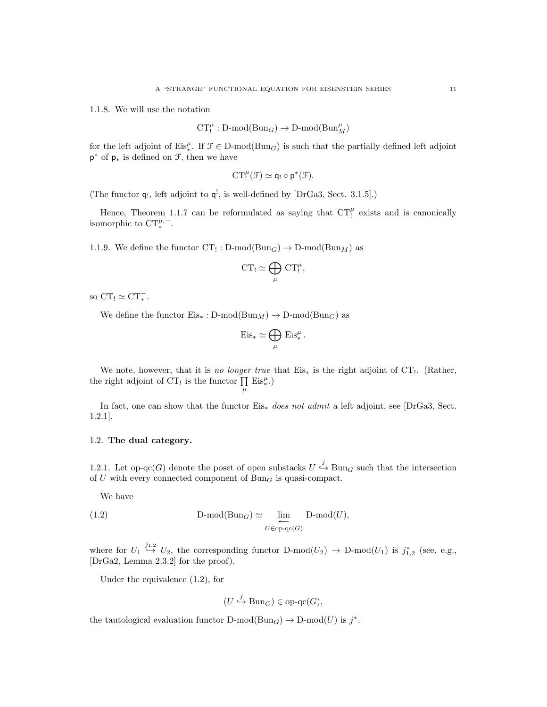1.1.8. We will use the notation

$$
CT_!^{\mu}: D\text{-mod}(Bun_G) \to D\text{-mod}(Bun_M^{\mu})
$$

for the left adjoint of  $Eis^{\mu}_*$ . If  $\mathcal{F} \in \mathcal{D}\text{-mod}(\text{Bun}_G)$  is such that the partially defined left adjoint p <sup>∗</sup> of p<sup>∗</sup> is defined on F, then we have

$$
\operatorname{CT}^{\mu}_!({\mathfrak F})\simeq q_!\circ p^*({\mathfrak F}).
$$

(The functor  $q_!,$  left adjoint to  $q^!,$  is well-defined by [DrGa3, Sect. 3.1.5].)

Hence, Theorem 1.1.7 can be reformulated as saying that  $CT_!^{\mu}$  exists and is canonically isomorphic to  $CT_*^{\mu,-}$ .

1.1.9. We define the functor  $CT_! : D\text{-mod}(Bun_G) \to D\text{-mod}(Bun_M)$  as

$$
CT_! \simeq \bigoplus_{\mu} CT_!^{\mu},
$$

so  $CT_! \simeq CT_*^-$ .

We define the functor  $Eis_* : D\text{-mod}(Bun_M) \to D\text{-mod}(Bun_G)$  as

$$
\mathrm{Eis}_* \simeq \bigoplus_{\mu} \mathrm{Eis}_*^{\mu}.
$$

We note, however, that it is no longer true that  $Eis_*$  is the right adjoint of  $CT_!$ . (Rather, the right adjoint of CT! is the functor  $\prod$  Eis<sup> $\mu$ </sup>.)  $\mu$ 

In fact, one can show that the functor Eis<sup>∗</sup> does not admit a left adjoint, see [DrGa3, Sect. 1.2.1].

# 1.2. The dual category.

1.2.1. Let op-qc(G) denote the poset of open substacks  $U \stackrel{j}{\hookrightarrow} \text{Bun}_G$  such that the intersection of U with every connected component of  $Bun<sub>G</sub>$  is quasi-compact.

We have

(1.2) 
$$
\text{D-mod}(\text{Bun}_G) \simeq \varprojlim_{U \in \text{op-qc}(G)} \text{D-mod}(U),
$$

where for  $U_1 \stackrel{j_{1,2}}{\hookrightarrow} U_2$ , the corresponding functor  $D\text{-mod}(U_2) \to D\text{-mod}(U_1)$  is  $j_{1,2}^*$  (see, e.g., [DrGa2, Lemma 2.3.2] for the proof).

Under the equivalence (1.2), for

$$
(U \stackrel{j}{\hookrightarrow} \operatorname{Bun}_G) \in \operatorname{op-qc}(G),
$$

the tautological evaluation functor  $D\text{-mod}(Bun_G) \to D\text{-mod}(U)$  is  $j^*$ .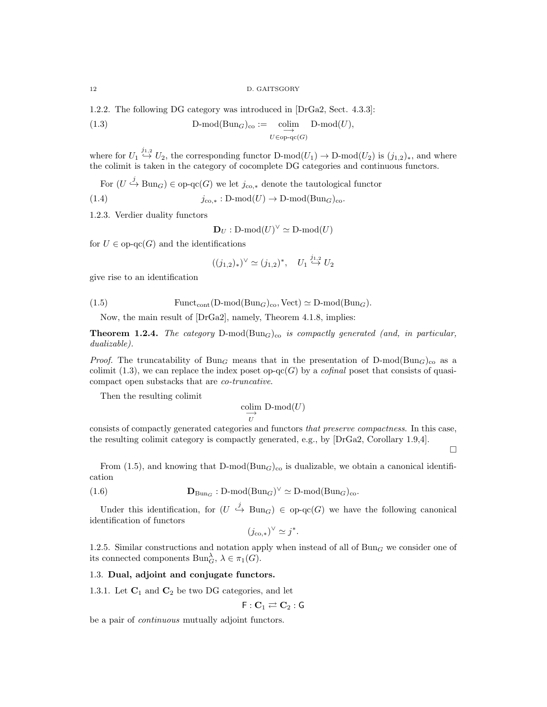12 D. GAITSGORY

1.2.2. The following DG category was introduced in [DrGa2, Sect. 4.3.3]:

(1.3) 
$$
\text{D-mod}(\text{Bun}_G)_{\text{co}} := \underset{U \in \text{op-qc}(G)}{\text{colim}} \text{D-mod}(U),
$$

where for  $U_1 \stackrel{j_{1,2}}{\hookrightarrow} U_2$ , the corresponding functor D-mod $(U_1) \to$  D-mod $(U_2)$  is  $(j_{1,2})_*$ , and where the colimit is taken in the category of cocomplete DG categories and continuous functors.

For  $(U \stackrel{j}{\hookrightarrow} \text{Bun}_G) \in \text{op-qc}(G)$  we let  $j_{\text{co},*}$  denote the tautological functor

(1.4) 
$$
j_{\text{co},*}: \text{D-mod}(U) \to \text{D-mod}(\text{Bun}_G)_{\text{co}}.
$$

1.2.3. Verdier duality functors

 $\mathbf{D}_U : \mathrm{D\text{-}mod}(U)^\vee \simeq \mathrm{D\text{-}mod}(U)$ 

for  $U \in \text{op-qc}(G)$  and the identifications

$$
((j_{1,2})_*)^\vee \simeq (j_{1,2})^*, \quad U_1 \stackrel{j_{1,2}}{\hookrightarrow} U_2
$$

give rise to an identification

(1.5) 
$$
\text{Funct}_{\text{cont}}(\text{D-mod}(\text{Bun}_G)_{\text{co}}, \text{Vect}) \simeq \text{D-mod}(\text{Bun}_G).
$$

Now, the main result of [DrGa2], namely, Theorem 4.1.8, implies:

**Theorem 1.2.4.** The category  $D$ -mod $(\text{Bun}_G)_{co}$  is compactly generated (and, in particular, dualizable).

*Proof.* The truncatability of Bun<sub>G</sub> means that in the presentation of D-mod(Bun<sub>G</sub>)<sub>co</sub> as a colimit (1.3), we can replace the index poset op-qc(G) by a *cofinal* poset that consists of quasicompact open substacks that are co-truncative.

Then the resulting colimit

$$
\underset{U}{\text{colim}} \text{ D-mod}(U)
$$

consists of compactly generated categories and functors that preserve compactness. In this case, the resulting colimit category is compactly generated, e.g., by [DrGa2, Corollary 1.9,4].

 $\Box$ 

From (1.5), and knowing that  $D\text{-mod}(Bun_G)_{\text{co}}$  is dualizable, we obtain a canonical identification

(1.6) 
$$
\mathbf{D}_{\text{Bun}_G}: \text{D-mod}(\text{Bun}_G)^{\vee} \simeq \text{D-mod}(\text{Bun}_G)_{\text{co}}.
$$

Under this identification, for  $(U \stackrel{j}{\hookrightarrow} \text{Bun}_G) \in \text{op-qc}(G)$  we have the following canonical identification of functors

$$
(j_{\text{co},*})^{\vee} \simeq j^*.
$$

1.2.5. Similar constructions and notation apply when instead of all of  $Bun<sub>G</sub>$  we consider one of its connected components  $\text{Bun}_{G}^{\lambda}$ ,  $\lambda \in \pi_1(G)$ .

# 1.3. Dual, adjoint and conjugate functors.

1.3.1. Let  $C_1$  and  $C_2$  be two DG categories, and let

$$
\mathsf{F}: \mathbf{C}_1 \rightleftarrows \mathbf{C}_2 : \mathsf{G}
$$

be a pair of continuous mutually adjoint functors.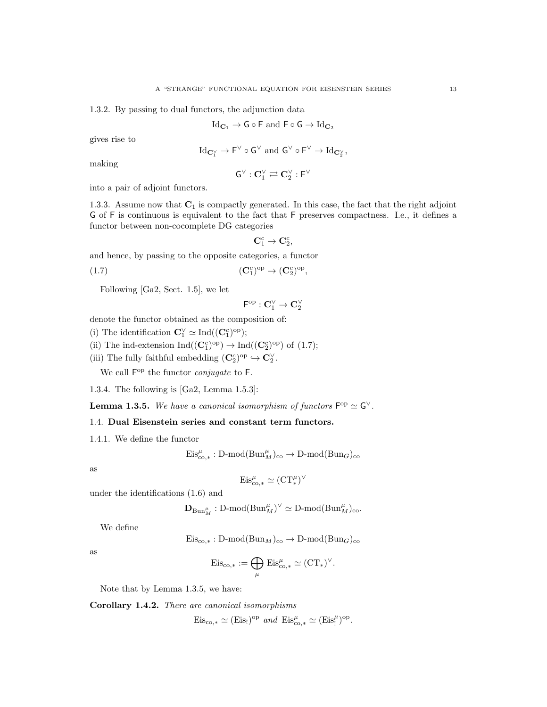1.3.2. By passing to dual functors, the adjunction data

$$
\operatorname{Id}_{\mathbf{C}_1} \to \mathsf{G} \circ \mathsf{F} \text{ and } \mathsf{F} \circ \mathsf{G} \to \operatorname{Id}_{\mathbf{C}_2}
$$

gives rise to

$$
\mathrm{Id}_{\mathbf{C}_1^\vee} \to \mathsf{F}^\vee \circ \mathsf{G}^\vee \text{ and } \mathsf{G}^\vee \circ \mathsf{F}^\vee \to \mathrm{Id}_{\mathbf{C}_2^\vee},
$$

making

$$
\mathsf{G}^\vee : \mathbf{C}_1^\vee \rightleftarrows \mathbf{C}_2^\vee : \mathsf{F}^\vee
$$

into a pair of adjoint functors.

1.3.3. Assume now that  $C_1$  is compactly generated. In this case, the fact that the right adjoint G of F is continuous is equivalent to the fact that F preserves compactness. I.e., it defines a functor between non-cocomplete DG categories

$$
\mathbf{C}^c_1 \to \mathbf{C}^c_2,
$$

and hence, by passing to the opposite categories, a functor

(1.7) 
$$
(\mathbf{C}_1^c)^{\mathrm{op}} \to (\mathbf{C}_2^c)^{\mathrm{op}},
$$

Following [Ga2, Sect. 1.5], we let

$$
\mathsf{F}^{\mathrm{op}}:\mathbf{C}_1^\vee\to\mathbf{C}_2^\vee
$$

denote the functor obtained as the composition of:

- (i) The identification  $\mathbb{C}_1^{\vee} \simeq \text{Ind}((\mathbb{C}_1^c)^{\text{op}});$
- (ii) The ind-extension  $\text{Ind}((\mathbf{C}^c_1)^{\text{op}}) \to \text{Ind}((\mathbf{C}^c_2)^{\text{op}})$  of (1.7);
- (iii) The fully faithful embedding  $(\mathbf{C}_2^c)^{op} \hookrightarrow \mathbf{C}_2^{\vee}$ .

We call  $F^{op}$  the functor *conjugate* to F.

1.3.4. The following is [Ga2, Lemma 1.5.3]:

**Lemma 1.3.5.** We have a canonical isomorphism of functors  $F^{\rm op} \simeq G^{\vee}$ .

# 1.4. Dual Eisenstein series and constant term functors.

1.4.1. We define the functor

 $\mathrm{Eis}_{\mathrm{co},*}^{\mu}: \mathrm{D-mod}(\mathrm{Bun}_M^{\mu})_{\mathrm{co}} \to \mathrm{D-mod}(\mathrm{Bun}_G)_{\mathrm{co}}$ 

as

$$
\mathrm{Eis}_{\mathrm{co},*}^{\mu} \simeq (\mathrm{CT}^{\mu}_{*})^{\vee}
$$

under the identifications (1.6) and

$$
\mathbf{D}_{\mathrm{Bun}_M^{\mu}} : \mathrm{D\text{-}mod}(\mathrm{Bun}_M^{\mu})^{\vee} \simeq \mathrm{D\text{-}mod}(\mathrm{Bun}_M^{\mu})_{\mathrm{co}}.
$$

We define

$$
Eis_{\text{co},*}: D\text{-mod}(Bun_M)_{\text{co}} \to D\text{-mod}(Bun_G)_{\text{co}}
$$

as

$$
\mathrm{Eis}_{\mathrm{co},*} := \bigoplus_{\mu} \mathrm{Eis}_{\mathrm{co},*}^{\mu} \simeq (\mathrm{CT}_{*})^{\vee}.
$$

Note that by Lemma 1.3.5, we have:

Corollary 1.4.2. There are canonical isomorphisms

 $\mathrm{Eis}_{\mathrm{co},*} \simeq (\mathrm{Eis}_{!})^{\mathrm{op}}$  and  $\mathrm{Eis}_{\mathrm{co},*}^{\mu} \simeq (\mathrm{Eis}_{!}^{\mu})^{\mathrm{op}}$ .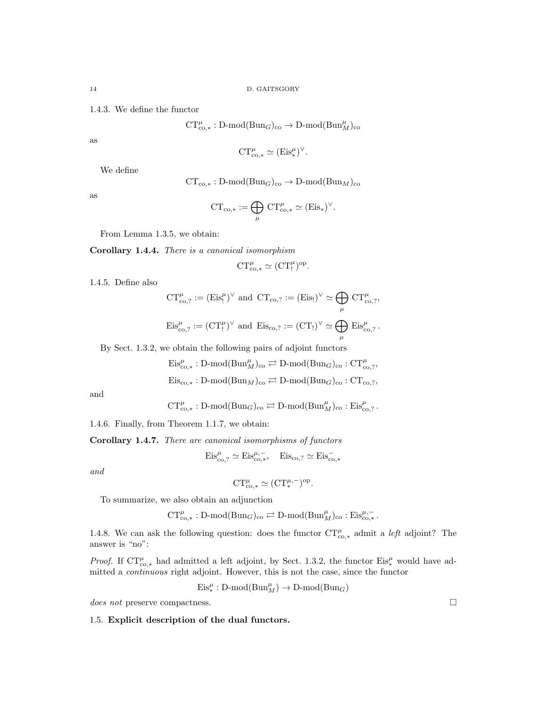1.4.3. We define the functor

$$
\text{CT}^{\mu}_{\text{co},*}: \text{D-mod}(\text{Bun}_G)_{\text{co}} \to \text{D-mod}(\text{Bun}_M^{\mu})_{\text{co}}
$$

as

$$
CT^{\mu}_{co,*} \simeq (\mathrm{Eis}^{\mu}_{*})^{\vee}.
$$

We define

$$
CT_{co,*}: D\text{-mod}(Bun_G)_{co} \to D\text{-mod}(Bun_M)_{co}
$$

as

$$
CT_{\text{co},*} := \bigoplus_{\mu} CT_{\text{co},*}^{\mu} \simeq (\text{Eis}_*)^{\vee}.
$$

From Lemma 1.3.5, we obtain:

Corollary 1.4.4. There is a canonical isomorphism

$$
CT^\mu_{co,*}\simeq (CT^\mu_!)^{op}.
$$

1.4.5. Define also

$$
CT^{\mu}_{\text{co},?} := (\text{Eis}^{\mu}_!)^{\vee} \text{ and } CT_{\text{co},?} := (\text{Eis}^1)^{\vee} \simeq \bigoplus_{\mu} CT^{\mu}_{\text{co},?},
$$
  

$$
\text{Eis}^{\mu}_{\text{co},?} := (CT^{\mu}_!)^{\vee} \text{ and } \text{Eis}_{\text{co},?} := (CT_!)^{\vee} \simeq \bigoplus \text{Eis}^{\mu}_{\text{co},?}.
$$

µ By Sect. 1.3.2, we obtain the following pairs of adjoint functors

$$
\mathrm{Eis}_{\mathrm{co},*}^{\mu} : \mathrm{D-mod}(\mathrm{Bun}_M^{\mu})_{\mathrm{co}} \rightleftarrows \mathrm{D-mod}(\mathrm{Bun}_G)_{\mathrm{co}} : \mathrm{CT}^{\mu}_{\mathrm{co},?},
$$

$$
\mathrm{Eis}_{\mathrm{co},*}:D\text{-mod}(\mathrm{Bun}_M)_{\mathrm{co}}\rightleftarrows D\text{-mod}(\mathrm{Bun}_G)_{\mathrm{co}}:\mathrm{CT}_{\mathrm{co},?},
$$

and

$$
\textnormal{CT}^\mu_{\textnormal{co},*}: \textnormal{D-mod}(\textnormal{Bun}_G)_{\textnormal{co}}\rightleftarrows \textnormal{D-mod}(\textnormal{Bun}_M^\mu)_{\textnormal{co}}: \textnormal{Eis}^\mu_{\textnormal{co},?}\,.
$$

1.4.6. Finally, from Theorem 1.1.7, we obtain:

Corollary 1.4.7. There are canonical isomorphisms of functors

$$
\mathrm{Eis}_{\mathrm{co},?}^{\mu} \simeq \mathrm{Eis}_{\mathrm{co},*}^{\mu,-}, \quad \mathrm{Eis}_{\mathrm{co},?} \simeq \mathrm{Eis}_{\mathrm{co},*}^-
$$

and

$$
CT^{\mu}_{co,*} \simeq (CT_*^{\mu,-})^{op}.
$$

To summarize, we also obtain an adjunction

$$
\text{CT}^{\mu}_{\text{co},*}: \text{D-mod}(\text{Bun}_G)_{\text{co}} \rightleftarrows \text{D-mod}(\text{Bun}^{\mu}_M)_{\text{co}}: \text{Eis}^{\mu,-}_{\text{co},*}.
$$

1.4.8. We can ask the following question: does the functor  $CT^{\mu}_{co,*}$  admit a *left* adjoint? The answer is "no":

*Proof.* If  $CT_{\text{co},*}^{\mu}$  had admitted a left adjoint, by Sect. 1.3.2, the functor  $Eis_{*}^{\mu}$  would have admitted a continuous right adjoint. However, this is not the case, since the functor

$$
\text{Eis}^\mu_* : \text{D-mod}(\text{Bun}_M^\mu) \to \text{D-mod}(\text{Bun}_G)
$$

does not preserve compactness.  $\Box$ 

### 1.5. Explicit description of the dual functors.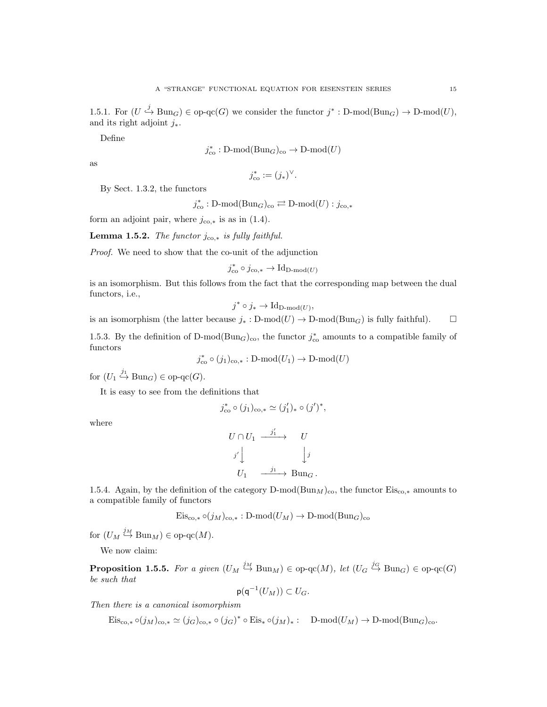1.5.1. For  $(U \stackrel{j}{\hookrightarrow} \text{Bun}_G) \in \text{op-qc}(G)$  we consider the functor  $j^* : \text{D-mod}(\text{Bun}_G) \to \text{D-mod}(U)$ , and its right adjoint  $j_*$ .

Define

$$
j^*_{\text{co}} : \text{D-mod}(\text{Bun}_G)_{\text{co}} \to \text{D-mod}(U)
$$

as

$$
j_{\text{co}}^* := (j_*)^{\vee}.
$$

By Sect. 1.3.2, the functors

$$
j_{\text{co}}^* : \text{D-mod}(\text{Bun}_G)_{\text{co}} \rightleftarrows \text{D-mod}(U) : j_{\text{co},*}
$$

form an adjoint pair, where  $j_{\text{co},*}$  is as in (1.4).

Lemma 1.5.2. The functor  $j_{\text{co},*}$  is fully faithful.

Proof. We need to show that the co-unit of the adjunction

$$
j_{\text{co}}^* \circ j_{\text{co},*} \to \text{Id}_{\text{D-mod}(U)}
$$

is an isomorphism. But this follows from the fact that the corresponding map between the dual functors, i.e.,

$$
j^* \circ j_* \to \mathrm{Id}_{\mathrm{D-mod}(U)},
$$

is an isomorphism (the latter because  $j_* : D\text{-mod}(U) \to D\text{-mod}(Bun_G)$  is fully faithful).  $\Box$ 

1.5.3. By the definition of D-mod( $Bun<sub>G</sub>$ )<sub>co</sub>, the functor  $j_{\text{co}}^*$  amounts to a compatible family of functors

 $j_{\text{co}}^* \circ (j_1)_{\text{co},*}: \text{D-mod}(U_1) \to \text{D-mod}(U)$ 

for  $(U_1 \stackrel{j_1}{\hookrightarrow} \text{Bun}_G) \in \text{op-qc}(G)$ .

It is easy to see from the definitions that

$$
j_{\text{co}}^* \circ (j_1)_{\text{co},*} \simeq (j'_1)_* \circ (j')^*,
$$

where

$$
\begin{array}{ccc}\nU \cap U_1 & \xrightarrow{j'_1} & U \\
j' \downarrow & & \downarrow j \\
U_1 & \xrightarrow{j_1} \text{Bun}_G.\n\end{array}
$$

1.5.4. Again, by the definition of the category D-mod( $\text{Bun}_M$ )<sub>co</sub>, the functor  $\text{Eis}_{\text{co},*}$  amounts to a compatible family of functors

$$
\mathrm{Eis}_{\mathrm{co},*} \circ (j_M)_{\mathrm{co},*}: \mathrm{D-mod}(U_M) \to \mathrm{D-mod}(\mathrm{Bun}_G)_{\mathrm{co}}
$$

for  $(U_M \stackrel{j_M}{\hookrightarrow} \text{Bun}_M) \in \text{op-qc}(M)$ .

We now claim:

**Proposition 1.5.5.** For a given  $(U_M \stackrel{j_M}{\hookrightarrow} \text{Bun}_M) \in \text{op-qc}(M)$ , let  $(U_G \stackrel{j_G}{\hookrightarrow} \text{Bun}_G) \in \text{op-qc}(G)$ be such that

$$
\mathsf{p}(\mathsf{q}^{-1}(U_M))\subset U_G.
$$

Then there is a canonical isomorphism

 $\mathrm{Eis}_{\mathrm{co},*} \circ (j_M)_{\mathrm{co},*} \simeq (j_G)_{\mathrm{co},*} \circ (j_G)^* \circ \mathrm{Eis}_* \circ (j_M)_*: \quad \mathrm{D-mod}(U_M) \to \mathrm{D-mod}(\mathrm{Bun}_G)_{\mathrm{co}}.$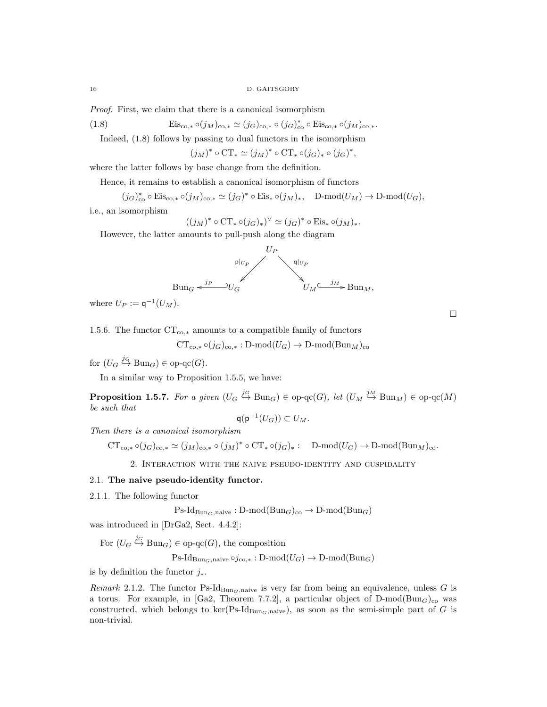Proof. First, we claim that there is a canonical isomorphism

(1.8) 
$$
Eis_{\text{co},*} \circ (j_M)_{\text{co},*} \simeq (j_G)_{\text{co},*} \circ (j_G)_{\text{co}}^* \circ Eis_{\text{co},*} \circ (j_M)_{\text{co},*}.
$$

Indeed, (1.8) follows by passing to dual functors in the isomorphism

 $(j_M)^* \circ \mathrm{CT}_* \simeq (j_M)^* \circ \mathrm{CT}_* \circ (j_G)_* \circ (j_G)^*,$ 

where the latter follows by base change from the definition.

Hence, it remains to establish a canonical isomorphism of functors

$$
(j_G)_{\text{co}}^* \circ \text{Eis}_{\text{co},*} \circ (j_M)_{\text{co},*} \simeq (j_G)^* \circ \text{Eis}_* \circ (j_M)_*, \quad \text{D-mod}(U_M) \to \text{D-mod}(U_G),
$$

i.e., an isomorphism

$$
((jM)^* \circ \mathrm{CT}_* \circ (jG)_*)^{\vee} \simeq (jG)^* \circ \mathrm{Eis}_* \circ (jM)_*.
$$

However, the latter amounts to pull-push along the diagram



where  $U_P := \mathsf{q}^{-1}(U_M)$ .

1.5.6. The functor  $CT_{co,*}$  amounts to a compatible family of functors

 $CT_{\text{co},*} \circ (j_G)_{\text{co},*}: \text{D-mod}(U_G) \to \text{D-mod}(\text{Bun}_M)_{\text{co}}$ 

for  $(U_G \stackrel{j_G}{\hookrightarrow} \text{Bun}_G) \in \text{op-qc}(G)$ .

In a similar way to Proposition 1.5.5, we have:

**Proposition 1.5.7.** For a given  $(U_G \stackrel{j_G}{\hookrightarrow} \text{Bun}_G) \in \text{op-qc}(G)$ , let  $(U_M \stackrel{j_M}{\hookrightarrow} \text{Bun}_M) \in \text{op-qc}(M)$ be such that

$$
\mathsf{q}(\mathsf{p}^{-1}(U_G)) \subset U_M.
$$

Then there is a canonical isomorphism

 $CT_{\text{co},*} \circ (j_G)_{\text{co},*} \simeq (j_M)_{\text{co},*} \circ (j_M)^* \circ CT_* \circ (j_G)_* : \quad \text{D-mod}(U_G) \to \text{D-mod}(Bun_M)_{\text{co}}.$ 

2. Interaction with the naive pseudo-identity and cuspidality

### 2.1. The naive pseudo-identity functor.

2.1.1. The following functor

 $\text{Ps-Id}_{\text{Bun}_G,\text{naive}} : \text{D-mod}(\text{Bun}_G)_{\text{co}} \to \text{D-mod}(\text{Bun}_G)$ 

was introduced in [DrGa2, Sect. 4.4.2]:

For  $(U_G \stackrel{j_G}{\hookrightarrow} \text{Bun}_G) \in \text{op-qc}(G)$ , the composition

 $\operatorname{Ps-Id}_{\operatorname{Bun}_G,\operatorname{naive}}\circ j_{\operatorname{co},*}:\operatorname{D-mod}(U_G)\to\operatorname{D-mod}(\operatorname{Bun}_G)$ 

is by definition the functor  $j_{*}$ .

Remark 2.1.2. The functor Ps-Id<sub>BunG</sub>,naive is very far from being an equivalence, unless G is a torus. For example, in [Ga2, Theorem 7.7.2], a particular object of  $D\text{-mod}(Bun_G)_{co}$  was constructed, which belongs to ker( $\text{Ps-Id}_{\text{Bun}_G,\text{naive}}$ ), as soon as the semi-simple part of G is non-trivial.

 $\Box$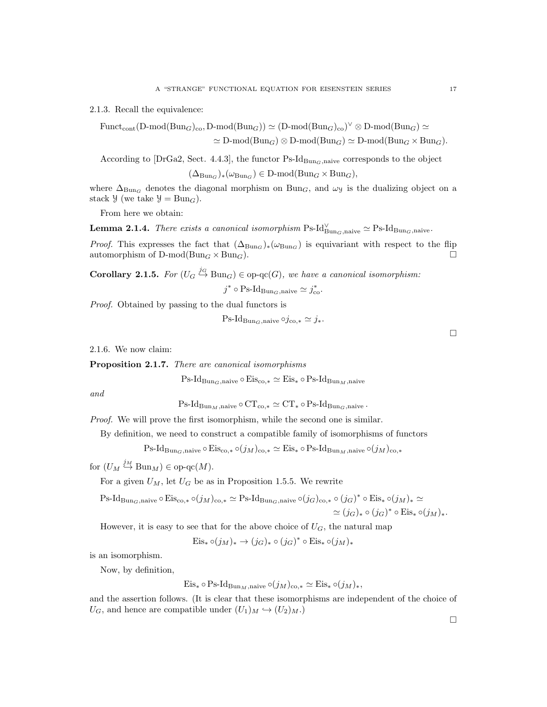2.1.3. Recall the equivalence:

 $\text{Funct}_{\text{cont}}(\text{D-mod}(\text{Bun}_G)_{\text{co}}, \text{D-mod}(\text{Bun}_G)) \simeq (\text{D-mod}(\text{Bun}_G)_{\text{co}})^{\vee} \otimes \text{D-mod}(\text{Bun}_G) \simeq$  $\simeq$  D-mod(Bun<sub>G</sub>)  $\otimes$  D-mod(Bun<sub>G</sub>)  $\simeq$  D-mod(Bun<sub>G</sub>  $\times$  Bun<sub>G</sub>).

According to [DrGa2, Sect. 4.4.3], the functor  $\text{Ps-Id}_{\text{Bun}_G,\text{naive}}$  corresponds to the object

$$
(\Delta_{\mathrm{Bun}_G})_*(\omega_{\mathrm{Bun}_G}) \in \mathrm{D}\text{-mod}(\mathrm{Bun}_G \times \mathrm{Bun}_G),
$$

where  $\Delta_{\text{Bun}_G}$  denotes the diagonal morphism on  $\text{Bun}_G$ , and  $\omega_y$  is the dualizing object on a stack  $\mathcal{Y}$  (we take  $\mathcal{Y} = \text{Bun}_G$ ).

From here we obtain:

**Lemma 2.1.4.** There exists a canonical isomorphism  $\text{Ps-Id}_{\text{Bun}_G,\text{naive}} \simeq \text{Ps-Id}_{\text{Bun}_G,\text{naive}}.$ 

*Proof.* This expresses the fact that  $(\Delta_{Bun_G})_*(\omega_{Bun_G})$  is equivariant with respect to the flip automorphism of  $D\text{-mod}(Bun_G \times Bun_G)$ .

**Corollary 2.1.5.** For  $(U_G \stackrel{j_G}{\hookrightarrow} \text{Bun}_G) \in \text{op-qc}(G)$ , we have a canonical isomorphism:

 $j^* \circ \text{Ps-Id}_{\text{Bun}_G,\text{naive}} \simeq j^*_{\text{co}}.$ 

Proof. Obtained by passing to the dual functors is

$$
Ps\text{-}Id_{\text{Bun}_G,\text{naive}} \circ j_{\text{co},*} \simeq j_*.
$$

2.1.6. We now claim:

Proposition 2.1.7. There are canonical isomorphisms

 $\text{Ps-Id}_{\text{Bun}_G,\text{naive}} \circ \text{Eis}_{\text{co},*} \simeq \text{Eis}_* \circ \text{Ps-Id}_{\text{Bun}_M,\text{naive}}$ 

and

 $\text{Ps-Id}_{\text{Bun}_M,\text{naive}} \circ \text{CT}_{\text{co},*} \simeq \text{CT}_* \circ \text{Ps-Id}_{\text{Bun}_G,\text{naive}}.$ 

Proof. We will prove the first isomorphism, while the second one is similar.

By definition, we need to construct a compatible family of isomorphisms of functors

Ps-Id<sub>BunG</sub>,naive  $\circ$  Eis<sub>co,\*</sub>  $\circ(j_M)_{\text{co},*} \simeq$  Eis<sub>\*</sub>  $\circ$  Ps-Id<sub>BunM</sub>,naive  $\circ(j_M)_{\text{co},*}$ 

for  $(U_M \stackrel{j_M}{\hookrightarrow} \text{Bun}_M) \in \text{op-qc}(M)$ .

For a given  $U_M$ , let  $U_G$  be as in Proposition 1.5.5. We rewrite

$$
\begin{aligned} \operatorname{Ps-Id}_{\operatorname{Bun}_G,\text{naive}} \circ \operatorname{Eis}_{\text{co},*} \circ (j_M)_{\text{co},*} &\simeq \operatorname{Ps-Id}_{\operatorname{Bun}_G,\text{naive}} \circ (j_G)_{\text{co},*} \circ (j_G)^* \circ \operatorname{Eis}_* \circ (j_M)_* &\simeq \\ &\simeq (j_G)_* \circ (j_G)^* \circ \operatorname{Eis}_* \circ (j_M)_*. \end{aligned}
$$

However, it is easy to see that for the above choice of  $U_G$ , the natural map

 $Eis_* \circ (j_M)_* \to (j_G)_* \circ (j_G)^* \circ Eis_* \circ (j_M)_*$ 

is an isomorphism.

Now, by definition,

Eis<sub>\*</sub>  $\circ$  Ps-Id<sub>Bun*M*</sub>,naive  $\circ(j_M)_{\text{co},*} \simeq$  Eis<sub>\*</sub>  $\circ(j_M)_*,$ 

and the assertion follows. (It is clear that these isomorphisms are independent of the choice of  $U_G$ , and hence are compatible under  $(U_1)_M \hookrightarrow (U_2)_M$ .

 $\Box$ 

 $\Box$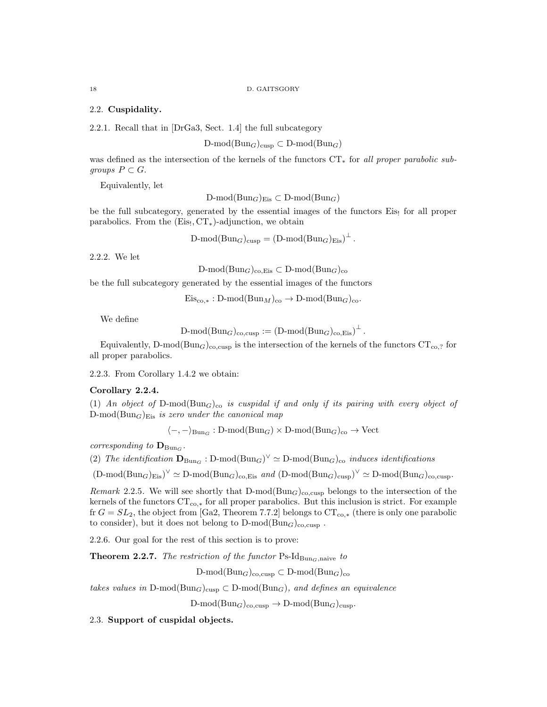# 2.2. Cuspidality.

2.2.1. Recall that in [DrGa3, Sect. 1.4] the full subcategory

D-mod( $Bun_G$ )<sub>cusp</sub>  $\subset D$ -mod( $Bun_G$ )

was defined as the intersection of the kernels of the functors CT<sub>∗</sub> for all proper parabolic subgroups  $P \subset G$ .

Equivalently, let

D-mod $(\text{Bun}_G)_{\text{Eis}} \subset D\text{-mod}(\text{Bun}_G)$ 

be the full subcategory, generated by the essential images of the functors Eis! for all proper parabolics. From the  $(Eis<sub>1</sub>, CT<sub>*</sub>)$ -adjunction, we obtain

 $D\text{-mod}(Bun_G)_{\text{cusp}} = (D\text{-mod}(Bun_G)_{\text{Eis}})^{\perp}.$ 

2.2.2. We let

D-mod( $Bun_G$ )<sub>co,Eis</sub>  $\subset$  D-mod( $Bun_G$ )<sub>co</sub>

be the full subcategory generated by the essential images of the functors

 $Eis_{\text{co.}*}: \text{D-mod}(\text{Bun}_M)_{\text{co}} \to \text{D-mod}(\text{Bun}_G)_{\text{co}}.$ 

We define

$$
\text{D-mod}(\text{Bun}_G)_{\text{co,cusp}} := (\text{D-mod}(\text{Bun}_G)_{\text{co,Eis}})^{\perp}.
$$

Equivalently, D-mod(Bun<sub>G</sub>)<sub>co,cusp</sub> is the intersection of the kernels of the functors  $CT_{co,?}$  for all proper parabolics.

2.2.3. From Corollary 1.4.2 we obtain:

### Corollary 2.2.4.

(1) An object of D-mod( $Bun<sub>G</sub>$ )<sub>co</sub> is cuspidal if and only if its pairing with every object of  $D\text{-mod}(Bun_G)_{Eis}$  is zero under the canonical map

 $\langle -, -\rangle_{\mathrm{Bun}_G} : \mathrm{D-mod}(\mathrm{Bun}_G) \times \mathrm{D-mod}(\mathrm{Bun}_G)_{\mathrm{co}} \to \mathrm{Vect}$ 

corresponding to  $\mathbf{D}_{\text{Bun}_G}$ .

(2) The identification  $\mathbf{D}_{Bun_G} : D\text{-mod}(Bun_G)^{\vee} \simeq D\text{-mod}(Bun_G)_{co}$  induces identifications

 $(D\text{-mod}(Bun_G)_{Eis})^{\vee} \simeq D\text{-mod}(Bun_G)_{co,Eis}$  and  $(D\text{-mod}(Bun_G)_{cusp})^{\vee} \simeq D\text{-mod}(Bun_G)_{co,cusp}$ .

Remark 2.2.5. We will see shortly that  $D\text{-mod}(Bun_G)_{\text{c}o,cusp}$  belongs to the intersection of the kernels of the functors  $CT_{co,*}$  for all proper parabolics. But this inclusion is strict. For example fr  $G = SL_2$ , the object from [Ga2, Theorem 7.7.2] belongs to  $CT_{\text{co},*}$  (there is only one parabolic to consider), but it does not belong to  $D\text{-mod}(Bun_G)_{\text{co,cusp}}$ .

2.2.6. Our goal for the rest of this section is to prove:

**Theorem 2.2.7.** The restriction of the functor  $\text{Ps-Id}_{\text{Bun}_G,\text{naive}}$  to

D-mod( $\text{Bun}_G$ )<sub>co,cusp</sub>  $\subset$  D-mod( $\text{Bun}_G$ )<sub>co</sub>

takes values in D-mod( $\text{Bun}_G$ )<sub>cusp</sub>  $\subset$  D-mod( $\text{Bun}_G$ ), and defines an equivalence

 $D\text{-mod}(Bun_G)_{\text{co,cusp}} \to D\text{-mod}(Bun_G)_{\text{cusp}}.$ 

2.3. Support of cuspidal objects.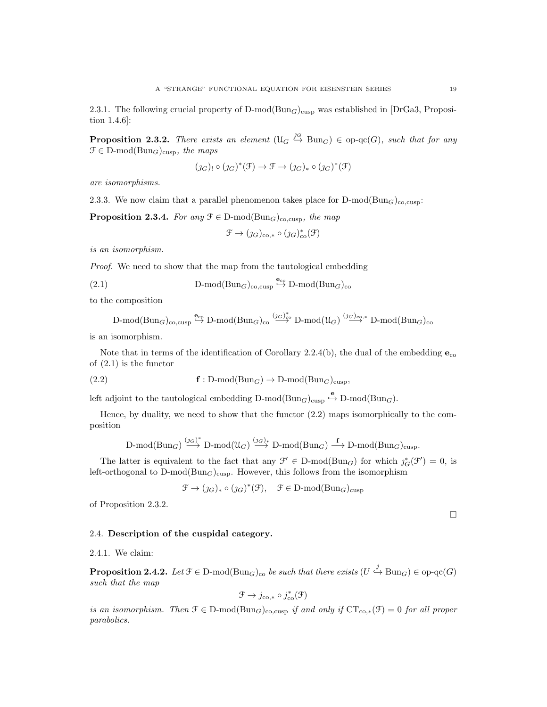2.3.1. The following crucial property of  $D\text{-mod}(Bun_G)_{\text{cusp}}$  was established in [DrGa3, Proposition 1.4.6]:

**Proposition 2.3.2.** There exists an element  $(\mathcal{U}_G \stackrel{\jmath_G}{\hookrightarrow} \text{Bun}_G) \in \text{op-qc}(G)$ , such that for any  $\mathcal{F} \in \mathcal{D}\text{-mod}(\text{Bun}_G)_{\text{cusp}}$ , the maps

$$
(j_G)_! \circ (j_G)^*(\mathfrak{F}) \to \mathfrak{F} \to (j_G)_* \circ (j_G)^*(\mathfrak{F})
$$

are isomorphisms.

2.3.3. We now claim that a parallel phenomenon takes place for  $D\text{-mod}(Bun_G)_{\text{co,cusp}}$ :

**Proposition 2.3.4.** For any  $\mathcal{F} \in \mathcal{D}\text{-mod}(\text{Bun}_G)_{\text{co,cusp}}$ , the map

$$
\mathcal{F} \to (\jmath_{G})_{\text{co},*} \circ (\jmath_{G})_{\text{co}}^{*}(\mathcal{F})
$$

is an isomorphism.

Proof. We need to show that the map from the tautological embedding

(2.1) 
$$
D\text{-mod}(Bun_G)_{\text{co,cusp}} \overset{\mathbf{e}_{\text{co}}}{\hookrightarrow} D\text{-mod}(Bun_G)_{\text{co}}
$$

to the composition

$$
\text{D-mod}(\text{Bun}_G)_{\text{co,cusp}} \stackrel{\mathbf{e}_{\text{co}}}{\hookrightarrow} \text{D-mod}(\text{Bun}_G)_{\text{co}} \stackrel{(j_G)^*_{\text{co}}}{\longrightarrow} \text{D-mod}(\mathcal{U}_G) \stackrel{(j_G)_{\text{co},*}}{\longrightarrow} \text{D-mod}(\text{Bun}_G)_{\text{co}}
$$

is an isomorphism.

Note that in terms of the identification of Corollary 2.2.4(b), the dual of the embedding  $e_{\rm co}$ of (2.1) is the functor

(2.2) 
$$
\mathbf{f}: \mathrm{D-mod}(\mathrm{Bun}_G) \to \mathrm{D-mod}(\mathrm{Bun}_G)_{\mathrm{cusp}},
$$

left adjoint to the tautological embedding  $D\text{-mod}(Bun_G)_{cusp} \overset{\mathbf{e}}{\hookrightarrow} D\text{-mod}(Bun_G)$ .

Hence, by duality, we need to show that the functor (2.2) maps isomorphically to the composition

$$
\text{$D$-mod}(\text{Bun}_G)\stackrel{(j_G)^*}{\longrightarrow} \text{$D$-mod}(\mathfrak{U}_G)\stackrel{(j_G)_*}{\longrightarrow} \text{$D$-mod}(\text{Bun}_G)\stackrel{\mathbf{f}}{\longrightarrow} \text{$D$-mod}(\text{Bun}_G)_{\text{cusp}}.
$$

The latter is equivalent to the fact that any  $\mathcal{F}' \in D\text{-mod}(Bun_G)$  for which  $\jmath^*_{G}(\mathcal{F}') = 0$ , is left-orthogonal to  $D\text{-mod}(Bun_G)_{\text{cusp}}$ . However, this follows from the isomorphism

$$
\mathcal{F} \to (\jmath_{G})_* \circ (\jmath_{G})^*(\mathcal{F}), \quad \mathcal{F} \in \mathcal{D}\text{-mod}(\mathcal{B}\mathbf{u}\mathbf{n}_G)_{\text{cusp}}
$$

of Proposition 2.3.2.

### 2.4. Description of the cuspidal category.

2.4.1. We claim:

**Proposition 2.4.2.** Let  $\mathcal{F} \in \mathcal{D}$ -mod $(\text{Bun}_G)_{\text{co}}$  be such that there exists  $(U \stackrel{j}{\hookrightarrow} \text{Bun}_G) \in \text{op-qc}(G)$ such that the map

$$
\mathcal{F} \to j_{\text{co},*} \circ j_{\text{co}}^*(\mathcal{F})
$$

is an isomorphism. Then  $\mathcal{F} \in \mathcal{D}$ -mod $(\text{Bun}_G)_{\text{coc,cup}}$  if and only if  $\text{CT}_{\text{co},*}(\mathcal{F}) = 0$  for all proper parabolics.

 $\Box$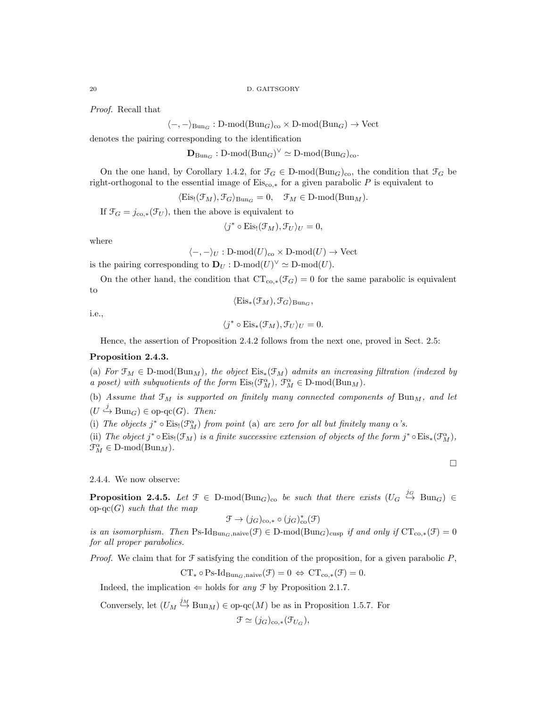Proof. Recall that

 $\langle -, -\rangle_{\text{Bun}_G} : D\text{-mod}(\text{Bun}_G)_{\text{co}} \times D\text{-mod}(\text{Bun}_G) \to \text{Vect}$ 

denotes the pairing corresponding to the identification

 $\mathbf{D}_{\text{Bun}_G} : \text{D-mod}(\text{Bun}_G)^{\vee} \simeq \text{D-mod}(\text{Bun}_G)_{\text{co}}.$ 

On the one hand, by Corollary 1.4.2, for  $\mathcal{F}_G \in \mathbb{D}\text{-mod}(\text{Bun}_G)_{\text{co}}$ , the condition that  $\mathcal{F}_G$  be right-orthogonal to the essential image of  $Eis_{\text{co,*}}$  for a given parabolic P is equivalent to

 $\langle Eis_{1}(\mathcal{F}_{M}), \mathcal{F}_{G} \rangle_{\text{Bun}_G} = 0, \quad \mathcal{F}_{M} \in \text{D-mod}(\text{Bun}_M).$ 

If  $\mathfrak{F}_G = j_{\text{co},*}(\mathfrak{F}_U)$ , then the above is equivalent to

$$
\langle j^* \circ \mathrm{Eis}_!(\mathcal{F}_M), \mathcal{F}_U \rangle_U = 0,
$$

where

$$
\langle -, -\rangle_U : D\text{-mod}(U)_{\text{co}} \times D\text{-mod}(U) \to \text{Vect}
$$

is the pairing corresponding to  $\mathbf{D}_U : \text{D-mod}(U)^{\vee} \simeq \text{D-mod}(U)$ .

On the other hand, the condition that  $CT_{\text{co,*}}(\mathcal{F}_G) = 0$  for the same parabolic is equivalent to  $\langle Eis_*(\mathcal{F}_M), \mathcal{F}_G \rangle_{\text{Bun}_G}$ 

i.e.,

$$
f_{\rm{max}}
$$

 $\langle j^* \circ \mathrm{Eis}_* (\mathcal{F}_M), \mathcal{F}_U \rangle_U = 0.$ 

Hence, the assertion of Proposition 2.4.2 follows from the next one, proved in Sect. 2.5:

# Proposition 2.4.3.

(a) For  $\mathfrak{F}_M \in \mathbb{D}$ -mod $(\text{Bun}_M)$ , the object  $\mathrm{Eis}_*(\mathfrak{F}_M)$  admits an increasing filtration (indexed by a poset) with subquotients of the form  $\mathrm{Eis}_{!}(\mathcal{F}_{M}^{\alpha}), \mathcal{F}_{M}^{\alpha} \in D\text{-mod}(\mathrm{Bun}_M)$ .

(b) Assume that  $\mathfrak{F}_M$  is supported on finitely many connected components of  $\text{Bun}_M$ , and let  $(U \stackrel{j}{\hookrightarrow} \text{Bun}_G) \in \text{op-qc}(G)$ . Then:

(i) The objects  $j^* \circ Eis_!(\mathcal{F}_M^{\alpha})$  from point (a) are zero for all but finitely many  $\alpha$ 's.

(ii) The object j<sup>\*</sup> ∘Eis<sub>!</sub>( $\mathcal{F}_M$ ) is a finite successive extension of objects of the form j<sup>\*</sup> ∘Eis<sub>\*</sub>( $\mathcal{F}_M^{\alpha}$ ),  $\mathfrak{F}_M^{\alpha} \in \mathcal{D}\text{-mod}(\mathcal{B}\mathfrak{u}\mathfrak{n}_M).$ 

 $\Box$ 

2.4.4. We now observe:

**Proposition 2.4.5.** Let  $\mathcal{F} \in D\text{-mod}(Bun_G)_{co}$  be such that there exists  $(U_G \stackrel{j_G}{\hookrightarrow} Bun_G) \in$ op-qc(G) such that the map

$$
\mathfrak{F} \to (j_G)_{\mathrm{co}, *} \circ (j_G)_{\mathrm{co}}^*(\mathfrak{F})
$$

is an isomorphism. Then Ps-Id<sub>BunG</sub>,naive( $\mathcal{F}$ ) ∈ D-mod(Bun<sub>G</sub>)<sub>cusp</sub> if and only if  $CT_{co,*}(\mathcal{F}) = 0$ for all proper parabolics.

*Proof.* We claim that for  $\mathcal F$  satisfying the condition of the proposition, for a given parabolic  $P$ ,

$$
CT_* \circ Ps\text{-}Id_{\text{Bun}_G,\text{naive}}(\mathcal{F}) = 0 \Leftrightarrow CT_{co,*}(\mathcal{F}) = 0.
$$

Indeed, the implication  $\Leftarrow$  holds for any  $\mathcal F$  by Proposition 2.1.7.

Conversely, let  $(U_M \stackrel{j_M}{\hookrightarrow} \text{Bun}_M) \in \text{op-qc}(M)$  be as in Proposition 1.5.7. For

$$
\mathcal{F} \simeq (j_G)_{\text{co},*}(\mathcal{F}_{U_G}),
$$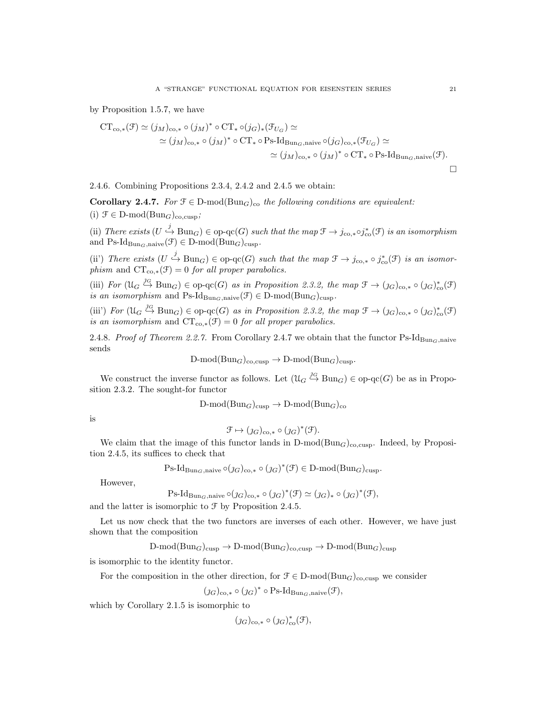by Proposition 1.5.7, we have

$$
CT_{co,*}(\mathcal{F}) \simeq (j_M)_{co,*} \circ (j_M)^* \circ CT_* \circ (j_G)_*(\mathcal{F}_{U_G}) \simeq
$$
  
\simeq (j\_M)\_{co,\*} \circ (j\_M)^\* \circ CT\_\* \circ Ps\text{-Id}\_{Bun\_G,naive} \circ (j\_G)\_{co,\*}(\mathcal{F}\_{U\_G}) \simeq  
\simeq (j\_M)\_{co,\*} \circ (j\_M)^\* \circ CT\_\* \circ Ps\text{-Id}\_{Bun\_G,naive}(\mathcal{F}).

2.4.6. Combining Propositions 2.3.4, 2.4.2 and 2.4.5 we obtain:

Corollary 2.4.7. For  $\mathcal{F} \in \mathcal{D}$ -mod $(\text{Bun}_G)_{\text{co}}$  the following conditions are equivalent:

(i)  $\mathcal{F} \in \mathcal{D}\text{-mod}(\mathcal{B}\text{un}_G)_{\text{co,cusp}};$ 

(ii) There exists  $(U \stackrel{j}{\hookrightarrow} \text{Bun}_G) \in \text{op-qc}(G)$  such that the map  $\mathfrak{F} \to j_{\text{co},*} \circ j_{\text{co}}^*(\mathfrak{F})$  is an isomorphism and  $\text{Ps-Id}_{\text{Bun}_G,\text{naive}}(\mathcal{F}) \in \text{D-mod}(\text{Bun}_G)_{\text{cusp}}$ .

(ii') There exists  $(U \stackrel{j}{\hookrightarrow} \text{Bun}_G) \in \text{op-qc}(G)$  such that the map  $\mathfrak{F} \to j_{\text{co},*} \circ j_{\text{co}}^*(\mathfrak{F})$  is an isomorphism and  $CT_{co,*}(\mathcal{F}) = 0$  for all proper parabolics.

(iii) For  $(\mathfrak{U}_G \stackrel{\jmath_G}{\hookrightarrow} \text{Bun}_G) \in \text{op-qc}(G)$  as in Proposition 2.3.2, the map  $\mathfrak{F} \to (\jmath_G)_{\text{co},*} \circ (\jmath_G)_{\text{co}}^*(\mathfrak{F})$ is an isomorphism and Ps-Id<sub>BunG</sub>,naive( $\mathcal{F}$ )  $\in$  D-mod( $\text{Bun}_G$ )<sub>cusp</sub>.

(iii') For  $(\mathcal{U}_G \stackrel{jG}{\hookrightarrow} \text{Bun}_G) \in \text{op-qc}(G)$  as in Proposition 2.3.2, the map  $\mathfrak{F} \to (j_G)_{\text{co},*} \circ (j_G)_{\text{co}}^*(\mathfrak{F})$ is an isomorphism and  $CT_{co,*}(\mathcal{F}) = 0$  for all proper parabolics.

2.4.8. Proof of Theorem 2.2.7. From Corollary 2.4.7 we obtain that the functor Ps-Id<sub>BunG</sub>,naive sends

$$
D\text{-mod}(Bun_G)_{\text{co,cusp}} \to D\text{-mod}(Bun_G)_{\text{cusp}}.
$$

We construct the inverse functor as follows. Let  $(\mathcal{U}_G \stackrel{\jmath_G}{\hookrightarrow} \text{Bun}_G) \in \text{op-qc}(G)$  be as in Proposition 2.3.2. The sought-for functor

$$
\text{D-mod}(\text{Bun}_G)_{\text{cusp}} \to \text{D-mod}(\text{Bun}_G)_{\text{co}}
$$

is

$$
\mathfrak{F} \mapsto (j_G)_{\text{co},*} \circ (j_G)^*(\mathfrak{F}).
$$

We claim that the image of this functor lands in  $D\text{-mod}(Bun_G)_{\text{co,cusp}}$ . Indeed, by Proposition 2.4.5, its suffices to check that

 $\text{Ps-Id}_{\text{Bun}_G,\text{naive}} \circ (j_G)_{\text{co},*} \circ (j_G)^*(\mathcal{F}) \in \text{D-mod}(\text{Bun}_G)_{\text{cusp}}.$ 

However,

Ps-Id<sub>Bun<sub>G</sub>,naive</sub> o(
$$
j_G
$$
)<sub>co,\*</sub> o ( $j_G$ )<sup>\*</sup>( $\mathcal{F}$ )  $\simeq$  ( $j_G$ )<sub>\*</sub> o ( $j_G$ )<sup>\*</sup>( $\mathcal{F}$ ),

and the latter is isomorphic to  $\mathcal F$  by Proposition 2.4.5.

Let us now check that the two functors are inverses of each other. However, we have just shown that the composition

 $D\text{-mod}(Bun_G)_{\text{cusp}} \to D\text{-mod}(Bun_G)_{\text{cusp}} \to D\text{-mod}(Bun_G)_{\text{cusp}}$ 

is isomorphic to the identity functor.

For the composition in the other direction, for  $\mathcal{F} \in \mathcal{D}\text{-mod}(\text{Bun}_G)_{\text{co,cusp}}$  we consider

 $(\jmath_G)_{\text{co},\ast} \circ (\jmath_G)^\ast \circ \text{Ps-Id}_{\text{Bun}_G,\text{naive}}(\mathcal{F}),$ 

which by Corollary 2.1.5 is isomorphic to

$$
(\jmath_{G})_{\text{co},*}\circ(\jmath_{G})_{\text{co}}^{*}(\mathcal{F}),
$$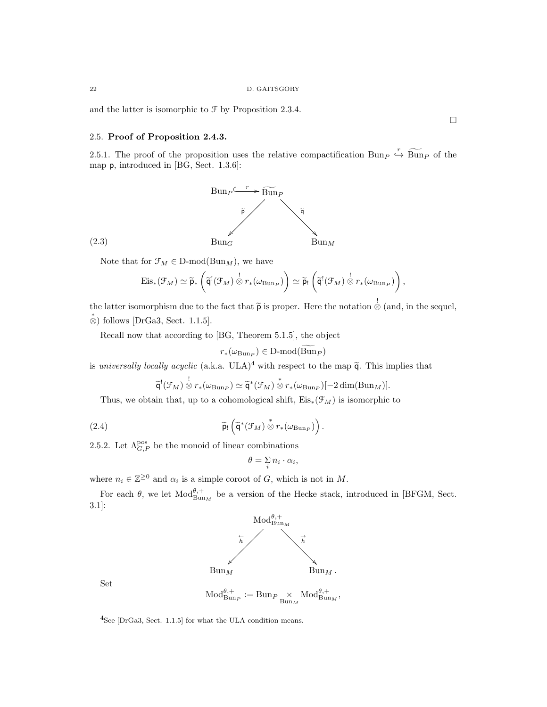and the latter is isomorphic to  $\mathcal F$  by Proposition 2.3.4.

# 2.5. Proof of Proposition 2.4.3.

2.5.1. The proof of the proposition uses the relative compactification Bun  $\overline{P} \stackrel{r}{\leftrightarrow} \overline{\text{Bun}}_P$  of the map p, introduced in [BG, Sect. 1.3.6]:



Note that for  $\mathcal{F}_M \in \mathcal{D}\text{-mod}(\mathcal{B}\text{un}_M)$ , we have

$$
\mathrm{Eis}_*(\mathcal{F}_M) \simeq \widetilde{\mathsf{p}}_* \left( \widetilde{\mathsf{q}}^!(\mathcal{F}_M) \overset{!}{\otimes} r_*(\omega_{\mathrm{Bun}_P}) \right) \simeq \widetilde{\mathsf{p}}_!\left( \widetilde{\mathsf{q}}^!(\mathcal{F}_M) \overset{!}{\otimes} r_*(\omega_{\mathrm{Bun}_P}) \right),
$$

the latter isomorphism due to the fact that  $\tilde{p}$  is proper. Here the notation  $\stackrel{!}{\otimes}$  (and, in the sequel,  $\stackrel{*}{\otimes}$  follows [DrGa3, Sect. 1.1.5].

Recall now that according to [BG, Theorem 5.1.5], the object

$$
r_*(\omega_{\mathrm{Bun}_P}) \in \mathrm{D\text{-}mod}(\mathrm{Bun}_P)
$$

is universally locally acyclic (a.k.a.  $ULA)^4$  with respect to the map  $\tilde{q}$ . This implies that

$$
\widetilde{\mathsf{q}}^!(\mathcal{F}_M) \overset{!}{\otimes} r_*(\omega_{\mathrm{Bun}_P}) \simeq \widetilde{\mathsf{q}}^*(\mathcal{F}_M) \overset{*}{\otimes} r_*(\omega_{\mathrm{Bun}_P})[-2\dim(\mathrm{Bun}_M)].
$$

Thus, we obtain that, up to a cohomological shift,  $Eis_*(\mathcal{F}_M)$  is isomorphic to

(2.4) 
$$
\widetilde{\mathsf{p}}_!\left(\widetilde{\mathsf{q}}^*(\mathcal{F}_M) \overset{*}{\otimes} r_*(\omega_{\mathrm{Bun}_P})\right).
$$

2.5.2. Let  $\Lambda_{G,P}^{\text{pos}}$  be the monoid of linear combinations

$$
\theta = \mathop{\Sigma}\limits_i n_i \cdot \alpha_i,
$$

where  $n_i \in \mathbb{Z}^{\geq 0}$  and  $\alpha_i$  is a simple coroot of G, which is not in M.

For each  $\theta$ , we let  $\text{Mod}_{\text{Bun}_M}^{\theta,+}$  be a version of the Hecke stack, introduced in [BFGM, Sect. 3.1]:



Set



(2.3)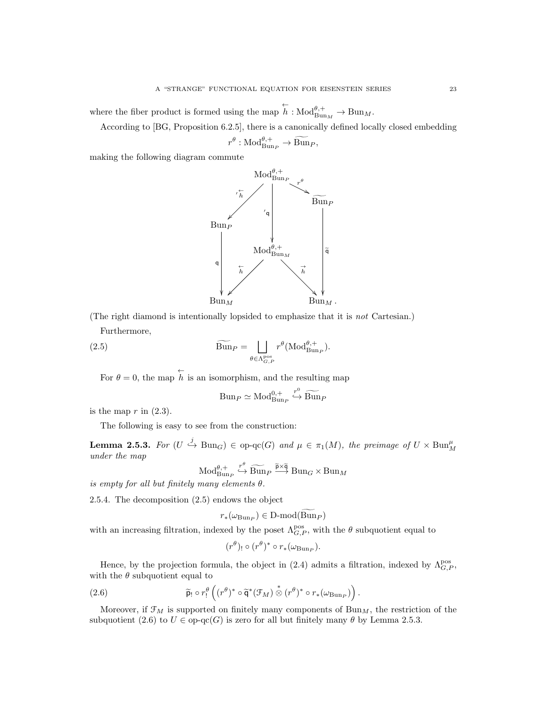where the fiber product is formed using the map  $\overleftarrow{h} : Mod_{\text{Bun}_M}^{\theta,+} \to \text{Bun}_M$ .

According to [BG, Proposition 6.2.5], there is a canonically defined locally closed embedding

$$
r^{\theta}: \mathrm{Mod}_{\mathrm{Bun}_P}^{\theta,+} \to \widetilde{\mathrm{Bun}}_P,
$$

making the following diagram commute



(The right diamond is intentionally lopsided to emphasize that it is not Cartesian.) Furthermore,

(2.5)  $\widetilde{\text{Bun}}_P = \Box$  $\theta \in \Lambda_{G,\,P}^{\text{pos}}$  $r^{\theta}(\mathrm{Mod}^{\theta,+}_{\mathrm{Bun}_P}).$ 

For  $\theta = 0$ , the map  $\stackrel{\leftarrow}{h}$  is an isomorphism, and the resulting map

$$
Bun_P \simeq Mod_{Bun_P}^{0,+} \stackrel{r^0}{\hookrightarrow} \widetilde{Bun}_P
$$

is the map  $r$  in  $(2.3)$ .

The following is easy to see from the construction:

**Lemma 2.5.3.** For  $(U \stackrel{j}{\hookrightarrow} \text{Bun}_G) \in \text{op-qc}(G)$  and  $\mu \in \pi_1(M)$ , the preimage of  $U \times \text{Bun}_M^{\mu}$ under the map

$$
\operatorname{Mod}_{\operatorname{Bun}_P}^{\theta,+} \xrightarrow{r^{\theta}} \widetilde{\operatorname{Bun}}_P \xrightarrow{\widetilde{p} \times \widetilde{q}} \operatorname{Bun}_G \times \operatorname{Bun}_M
$$

is empty for all but finitely many elements  $\theta$ .

2.5.4. The decomposition (2.5) endows the object

$$
r_*(\omega_{\mathrm{Bun}_P}) \in \mathrm{D}\text{-}\mathrm{mod}(\mathrm{Bun}_P)
$$

with an increasing filtration, indexed by the poset  $\Lambda_{G,P}^{\text{pos}}$ , with the  $\theta$  subquotient equal to

$$
(r^{\theta})_{!} \circ (r^{\theta})^* \circ r_*(\omega_{\mathrm{Bun}_P}).
$$

Hence, by the projection formula, the object in (2.4) admits a filtration, indexed by  $\Lambda_{G,P}^{\text{pos}}$ , with the  $\theta$  subquotient equal to

(2.6) 
$$
\widetilde{p}_! \circ r_!^{\theta} \left( (r^{\theta})^* \circ \widetilde{q}^* (\mathcal{F}_M) \overset{*}{\otimes} (r^{\theta})^* \circ r_* (\omega_{\text{Bun}_P}) \right).
$$

Moreover, if  $\mathfrak{F}_M$  is supported on finitely many components of  $\mathrm{Bun}_M$ , the restriction of the subquotient (2.6) to  $U \in \text{op-qc}(G)$  is zero for all but finitely many  $\theta$  by Lemma 2.5.3.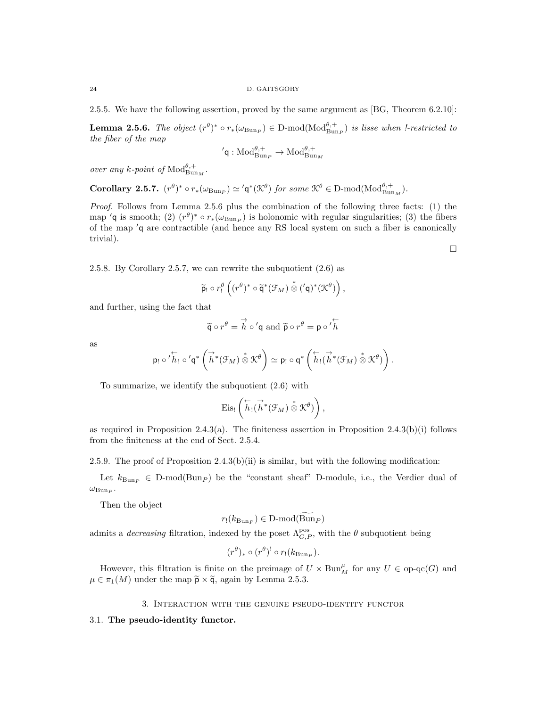2.5.5. We have the following assertion, proved by the same argument as [BG, Theorem 6.2.10]:

**Lemma 2.5.6.** The object  $(r^{\theta})^* \circ r_*(\omega_{\text{Bun}_P}) \in D\text{-mod}(\text{Mod}_{\text{Bun}_P}^{\theta,+})$  is lisse when *!-restricted to* the fiber of the map

$$
{}'\mathsf{q}: \mathrm{Mod}_{\mathrm{Bun}_P}^{\theta,+} \to \mathrm{Mod}_{\mathrm{Bun}_M}^{\theta,+}
$$

over any k-point of  $\text{Mod}_{\text{Bun}_M}^{\theta,+}$ .

Corollary 2.5.7.  $(r^{\theta})^* \circ r_*(\omega_{\text{Bun}_P}) \simeq 'q^*(\mathfrak{K}^{\theta})$  for some  $\mathfrak{K}^{\theta} \in \text{D-mod}(\text{Mod}_{\text{Bun}_M}^{\theta,+})$ .

Proof. Follows from Lemma 2.5.6 plus the combination of the following three facts: (1) the map 'q is smooth; (2)  $(r^{\theta})^* \circ r_*(\omega_{\text{Bun}_P})$  is holonomic with regular singularities; (3) the fibers of the map  $q$  are contractible (and hence any RS local system on such a fiber is canonically trivial).

2.5.8. By Corollary 2.5.7, we can rewrite the subquotient (2.6) as

$$
\widetilde{\mathsf{p}}_!\circ r^\theta_!\left((r^\theta)^* \circ \widetilde{\mathsf{q}}^*(\mathcal{F}_M) \overset{*}{\otimes} ('\mathsf{q})^*(\mathcal{K}^\theta)\right),
$$

and further, using the fact that

$$
\widetilde{\mathbf{q}} \circ r^{\theta} = \overrightarrow{h} \circ' \mathbf{q}
$$
 and  $\widetilde{\mathbf{p}} \circ r^{\theta} = \mathbf{p} \circ' \overleftarrow{h}$ 

as

$$
p_! \circ 'h_! \circ 'q^* \left( \stackrel{\rightarrow}{h}^* (\mathcal{F}_M) \stackrel{\ast}{\otimes} \mathcal{K}^{\theta} \right) \simeq p_! \circ q^* \left( \stackrel{\leftarrow}{h}_! (\stackrel{\rightarrow}{h}^* (\mathcal{F}_M) \stackrel{\ast}{\otimes} \mathcal{K}^{\theta}) \right).
$$

To summarize, we identify the subquotient (2.6) with

$$
\mathrm{Eis}_! \left( \overset{\leftarrow}{h}_! (\overset{\rightarrow}{h}{}^* (\mathcal{F}_M) \overset{\ast}{\otimes} \mathcal{K}^\theta) \right),
$$

as required in Proposition 2.4.3(a). The finiteness assertion in Proposition 2.4.3(b)(i) follows from the finiteness at the end of Sect. 2.5.4.

2.5.9. The proof of Proposition  $2.4.3(b)(ii)$  is similar, but with the following modification:

Let  $k_{\text{Bun}_P} \in D\text{-mod}(\text{Bun}_P)$  be the "constant sheaf" D-module, i.e., the Verdier dual of  $\omega_{\mathrm{Bun}_P}$ .

Then the object

$$
r_!(k_{\mathrm{Bun}_P}) \in \mathrm{D\text{-}mod}(\mathrm{Bun}_P)
$$

admits a *decreasing* filtration, indexed by the poset  $\Lambda_{G,P}^{\text{pos}}$ , with the  $\theta$  subquotient being

$$
(r^{\theta})_{*} \circ (r^{\theta})^! \circ r_!(k_{\text{Bun}_P}).
$$

However, this filtration is finite on the preimage of  $U \times \text{Bun}_M^{\mu}$  for any  $U \in \text{op-qc}(G)$  and  $\mu \in \pi_1(M)$  under the map  $\widetilde{\mathsf{p}} \times \widetilde{\mathsf{q}}$ , again by Lemma 2.5.3.

3. Interaction with the genuine pseudo-identity functor

# 3.1. The pseudo-identity functor.

 $\Box$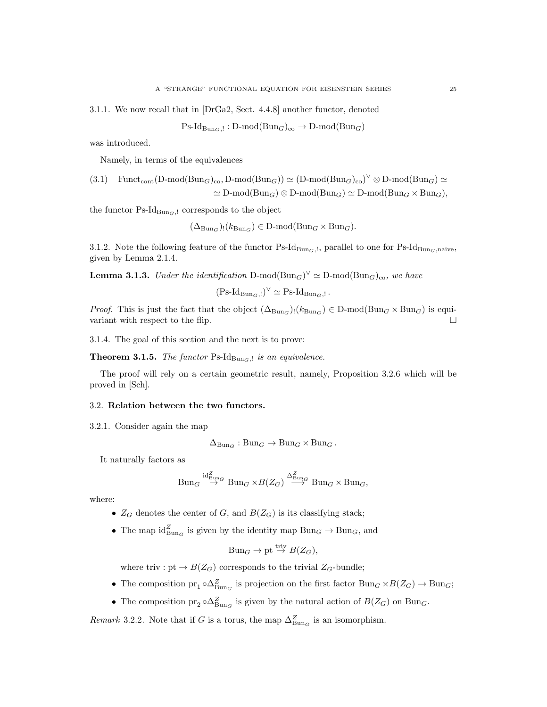3.1.1. We now recall that in [DrGa2, Sect. 4.4.8] another functor, denoted

 $\text{Ps-Id}_{\text{Bun}_G, !}: \text{D-mod}(\text{Bun}_G)_{\text{co}} \to \text{D-mod}(\text{Bun}_G)$ 

was introduced.

Namely, in terms of the equivalences

(3.1) 
$$
\text{Funct}_{\text{cont}}(\text{D-mod}(\text{Bun}_G)_{\text{co}}, \text{D-mod}(\text{Bun}_G)) \simeq (\text{D-mod}(\text{Bun}_G)_{\text{co}})^{\vee} \otimes \text{D-mod}(\text{Bun}_G) \simeq
$$
  

$$
\simeq \text{D-mod}(\text{Bun}_G) \otimes \text{D-mod}(\text{Bun}_G) \simeq \text{D-mod}(\text{Bun}_G \times \text{Bun}_G),
$$

the functor  $\text{Ps-Id}_{\text{Bun}_G, !}$  corresponds to the object

 $(\Delta_{\text{Bun}_G})_!(k_{\text{Bun}_G}) \in \text{D-mod}(\text{Bun}_G \times \text{Bun}_G).$ 

3.1.2. Note the following feature of the functor  $\text{Ps-Id}_{\text{Bun}_G,l}$ , parallel to one for  $\text{Ps-Id}_{\text{Bun}_G,naive}$ , given by Lemma 2.1.4.

**Lemma 3.1.3.** Under the identification D-mod $(\text{Bun}_G)^{\vee} \simeq \text{D-mod}(\text{Bun}_G)_{\text{co}}$ , we have

$$
(\mathrm{Ps}\text{-}\mathrm{Id}_{\mathrm{Bun}_G,!})^{\vee} \simeq \mathrm{Ps}\text{-}\mathrm{Id}_{\mathrm{Bun}_G,!}.
$$

*Proof.* This is just the fact that the object  $(\Delta_{\text{Bun}_G})_!(k_{\text{Bun}_G}) \in D\text{-mod}(\text{Bun}_G \times \text{Bun}_G)$  is equivariant with respect to the flip.  $\Box$ 

3.1.4. The goal of this section and the next is to prove:

**Theorem 3.1.5.** The functor Ps-Id<sub>Bun $_G$ , is an equivalence.</sub>

The proof will rely on a certain geometric result, namely, Proposition 3.2.6 which will be proved in [Sch].

### 3.2. Relation between the two functors.

3.2.1. Consider again the map

$$
\Delta_{\mathrm{Bun}_G}: \mathrm{Bun}_G \to \mathrm{Bun}_G \times \mathrm{Bun}_G.
$$

It naturally factors as

$$
Bun_G \stackrel{\mathrm{id}^Z_{\mathrm{Bun}_G}}{\to} Bun_G \times B(Z_G) \stackrel{\Delta^Z_{\mathrm{Bun}_G}}{\to} Bun_G \times Bun_G,
$$

where:

- $Z_G$  denotes the center of G, and  $B(Z_G)$  is its classifying stack;
- The map  $\mathrm{id}_{\mathrm{Bun}_G}^Z$  is given by the identity map  $\mathrm{Bun}_G \to \mathrm{Bun}_G$ , and

$$
Bun_G \to pt \stackrel{triv}{\to} B(Z_G),
$$

where triv : pt  $\rightarrow$   $B(Z_G)$  corresponds to the trivial  $Z_G$ -bundle;

- The composition  $pr_1 \circ \Delta_{\text{Bun}_G}^Z$  is projection on the first factor  $\text{Bun}_G \times B(Z_G) \to \text{Bun}_G$ ;
- The composition  $\text{pr}_2 \circ \Delta_{\text{Bun}_G}^Z$  is given by the natural action of  $B(Z_G)$  on  $\text{Bun}_G$ .

*Remark* 3.2.2. Note that if G is a torus, the map  $\Delta_{\text{Bun}_G}^Z$  is an isomorphism.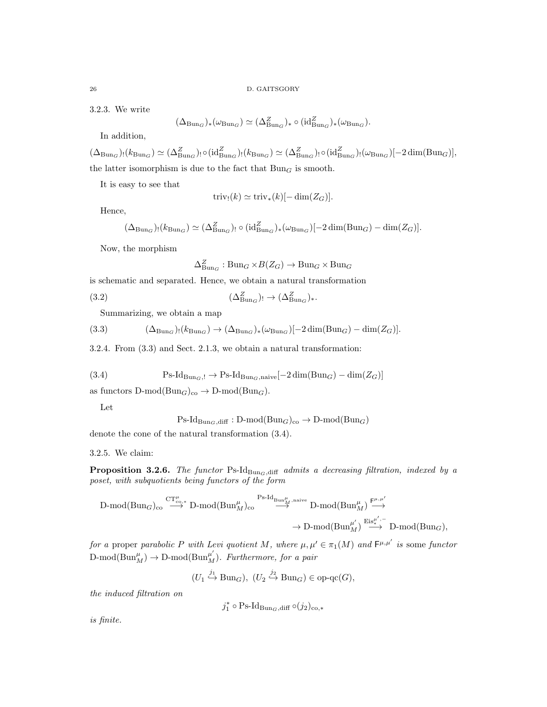3.2.3. We write

$$
(\Delta_{\mathrm{Bun}_G})_*(\omega_{\mathrm{Bun}_G}) \simeq (\Delta_{\mathrm{Bun}_G}^Z)_* \circ (\mathrm{id}_{\mathrm{Bun}_G}^Z)_*(\omega_{\mathrm{Bun}_G}).
$$

In addition,

 $(\Delta_{\text{Bun}_G})_!(k_{\text{Bun}_G}) \simeq (\Delta_{\text{Bun}_G}^Z)_!(k_{\text{Bun}_G}) \simeq (\Delta_{\text{Bun}_G}^Z)_! \circ (\text{id}_{\text{Bun}_G}^Z)_!(\omega_{\text{Bun}_G})[-2 \dim(\text{Bun}_G)],$ the latter isomorphism is due to the fact that  $Bun<sub>G</sub>$  is smooth.

It is easy to see that

$$
\operatorname{triv}_!(k) \simeq \operatorname{triv}_*(k) [-\dim(Z_G)].
$$

Hence,

$$
(\Delta_{\mathrm{Bun}_G})_!(k_{\mathrm{Bun}_G}) \simeq (\Delta_{\mathrm{Bun}_G}^Z)_! \circ (\mathrm{id}_{\mathrm{Bun}_G}^Z)_*(\omega_{\mathrm{Bun}_G})[-2\dim(\mathrm{Bun}_G) - \dim(Z_G)].
$$

Now, the morphism

$$
\Delta_{\mathrm{Bun}_G}^Z : \mathrm{Bun}_G \times B(Z_G) \to \mathrm{Bun}_G \times \mathrm{Bun}_G
$$

is schematic and separated. Hence, we obtain a natural transformation

(3.2) 
$$
(\Delta^Z_{\text{Bun}_G})_! \to (\Delta^Z_{\text{Bun}_G})_*.
$$

Summarizing, we obtain a map

(3.3) 
$$
(\Delta_{\text{Bun}_G})_!(k_{\text{Bun}_G}) \to (\Delta_{\text{Bun}_G})_*(\omega_{\text{Bun}_G})[-2\dim(\text{Bun}_G) - \dim(Z_G)].
$$

3.2.4. From (3.3) and Sect. 2.1.3, we obtain a natural transformation:

(3.4) 
$$
Ps\text{-}Id_{Bun_G, !} \to Ps\text{-}Id_{Bun_G, naive}[-2\dim(Bun_G) - \dim(Z_G)]
$$

as functors  $D\text{-mod}(Bun_G)_{co} \to D\text{-mod}(Bun_G)$ .

Let

$$
Ps\text{-}Id_{\text{Bun}_G,\text{diff}}: D\text{-mod}(\text{Bun}_G)_{\text{co}} \to D\text{-mod}(\text{Bun}_G)
$$

denote the cone of the natural transformation (3.4).

3.2.5. We claim:

**Proposition 3.2.6.** The functor Ps-Id<sub>BunG,diff</sub> admits a decreasing filtration, indexed by a poset, with subquotients being functors of the form

$$
\begin{CD}\n{\rm D-mod}({\rm Bun}_G)_{\rm co}\stackrel{\mathrm{CT}^\mu_{\rm co,*}}{\longrightarrow}{\rm D-mod}({\rm Bun}^\mu_M)_{\rm co}\stackrel{\mathrm{Ps-Id}_{{\rm Bun}^\mu_M,{\rm naive}}}{\longrightarrow}{\rm D-mod}({\rm Bun}^\mu_M)\stackrel{{\rm F}^{\mu,\mu'}}{\longrightarrow}\n\to{\rm D-mod}({\rm Bun}^\mu_M)\stackrel{{\rm Eis}^{\mu',-}}{\longrightarrow}{\rm D-mod}({\rm Bun}_G),
$$

for a proper parabolic P with Levi quotient M, where  $\mu, \mu' \in \pi_1(M)$  and  $\mathsf{F}^{\mu,\mu'}$  is some functor D-mod( $\text{Bun}_M^{\mu}$ )  $\rightarrow$  D-mod( $\text{Bun}_M^{\mu'}$ ). Furthermore, for a pair

$$
(U_1 \stackrel{j_1}{\hookrightarrow} \text{Bun}_G), (U_2 \stackrel{j_2}{\hookrightarrow} \text{Bun}_G) \in \text{op-qc}(G),
$$

the induced filtration on

$$
j_1^* \circ \operatorname{Ps-Id}_{\operatorname{Bun}_G, \operatorname{diff}} \circ (j_2)_{\operatorname{co},*}
$$

is finite.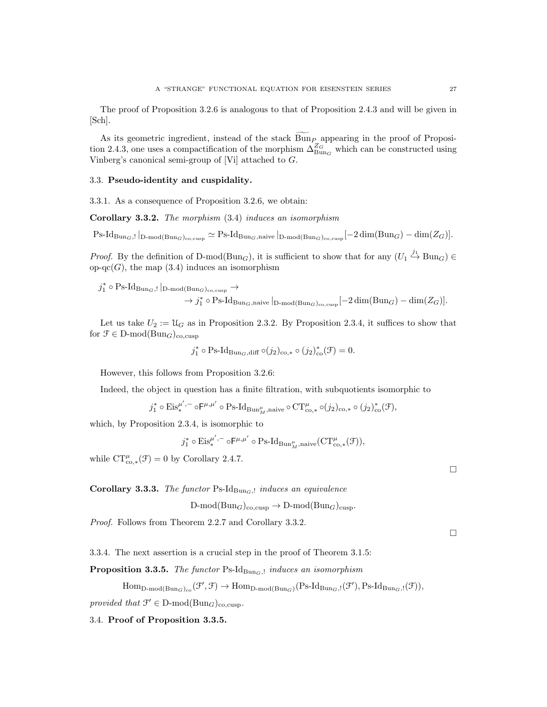The proof of Proposition 3.2.6 is analogous to that of Proposition 2.4.3 and will be given in [Sch].

As its geometric ingredient, instead of the stack Bun<sub>P</sub> appearing in the proof of Proposition 2.4.3, one uses a compactification of the morphism  $\Delta_{\text{Bun}_G}^{Z_G}$  which can be constructed using Vinberg's canonical semi-group of [Vi] attached to G.

## 3.3. Pseudo-identity and cuspidality.

3.3.1. As a consequence of Proposition 3.2.6, we obtain:

Corollary 3.3.2. The morphism (3.4) induces an isomorphism

 $\text{Ps-Id}_{\text{Bun}_G,!}|_{\text{D-mod}(\text{Bun}_G)_{\text{co,cusp}}}\simeq \text{Ps-Id}_{\text{Bun}_G,\text{naive}}|_{\text{D-mod}(\text{Bun}_G)_{\text{co,cusp}}}\left[-2\dim(\text{Bun}_G)-\dim(Z_G)\right].$ 

*Proof.* By the definition of D-mod( $Bun_G$ ), it is sufficient to show that for any  $(U_1 \stackrel{j_1}{\hookrightarrow} Bun_G) \in$ op-qc(G), the map  $(3.4)$  induces an isomorphism

$$
j_1^* \circ \text{Ps-Id}_{\text{Bun}_G, !} |_{\text{D-mod}(\text{Bun}_G)_{\text{co,cusp}}} \to \rightarrow j_1^* \circ \text{Ps-Id}_{\text{Bun}_G, \text{naive}} |_{\text{D-mod}(\text{Bun}_G)_{\text{co,cusp}}} [-2 \dim(\text{Bun}_G) - \dim(Z_G)].
$$

Let us take  $U_2 := \mathfrak{U}_G$  as in Proposition 2.3.2. By Proposition 2.3.4, it suffices to show that for  $\mathfrak{F} \in \mathbb{D}\text{-mod}(\mathcal{B}\text{un}_G)_{\text{co,cusp}}$ 

$$
j_1^* \circ \mathrm{Ps}\text{-}\mathrm{Id}_{\mathrm{Bun}_G, \mathrm{diff}} \circ (j_2)_{\mathrm{co},*} \circ (j_2)_{\mathrm{co}}^* (\mathcal{F}) = 0.
$$

However, this follows from Proposition 3.2.6:

Indeed, the object in question has a finite filtration, with subquotients isomorphic to

$$
j_1^*\circ \mathrm{Eis}_*^{\mu',-}\circ \mathsf{F}^{\mu,\mu'}\circ \mathrm{Ps}\text{-}\mathrm{Id}_{\mathrm{Bun}_M^\mu,\mathrm{naive}}\circ \mathrm{CT}^\mu_{\mathrm{co},*}\circ (j_2)_{\mathrm{co},*}\circ (j_2)_{\mathrm{co}}^*(\mathcal{F}),
$$

which, by Proposition 2.3.4, is isomorphic to

 $j_1^* \circ \mathrm{Eis}_*^{\mu',-} \circ \mathsf{F}^{\mu,\mu'} \circ \mathrm{Ps\text{-}Id}_{\mathrm{Bun}_M^{\mu},\mathrm{naive}}(\mathrm{CT}^{\mu}_{\mathrm{co},*}(\mathcal{F})),$ 

while  $CT_{\text{co},*}^{\mu}(\mathcal{F})=0$  by Corollary 2.4.7.

Corollary 3.3.3. The functor Ps-Id $_{\text{Bun}_G, !}$  induces an equivalence

 $D\text{-mod}(Bun_G)_{\text{co,cusp}} \to D\text{-mod}(Bun_G)_{\text{cusp}}.$ 

Proof. Follows from Theorem 2.2.7 and Corollary 3.3.2.

3.3.4. The next assertion is a crucial step in the proof of Theorem 3.1.5:

**Proposition 3.3.5.** The functor Ps-Id<sub>BunG</sub>, induces an isomorphism

 $\text{Hom}_{\text{D-mod}(\text{Bun}_G)_{co}}(\mathcal{F}', \mathcal{F}) \to \text{Hom}_{\text{D-mod}(\text{Bun}_G)}(\text{Ps-Id}_{\text{Bun}_G,!}(\mathcal{F}'), \text{Ps-Id}_{\text{Bun}_G,!}(\mathcal{F})),$ 

provided that  $\mathcal{F}' \in \mathcal{D}\text{-mod}(\text{Bun}_G)_{\text{co,cusp}}$ .

# 3.4. Proof of Proposition 3.3.5.

 $\Box$ 

 $\Box$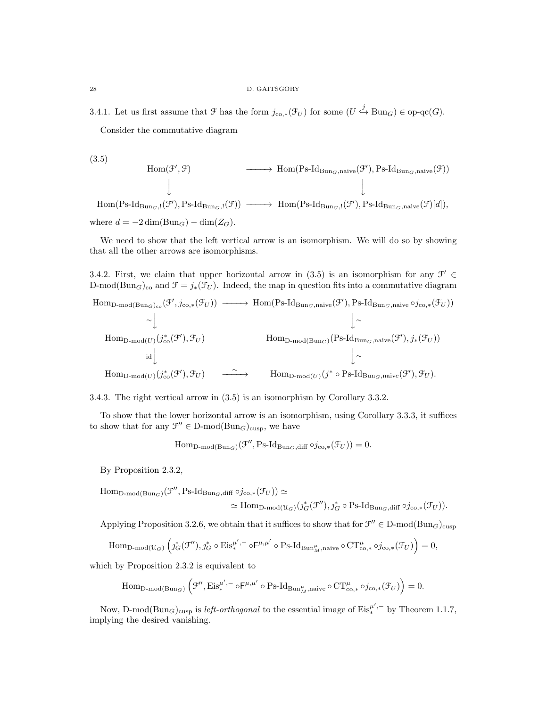3.4.1. Let us first assume that  $\mathcal F$  has the form  $j_{\text{co},*}(\mathcal F_U)$  for some  $(U \stackrel{j}{\hookrightarrow} \text{Bun}_G) \in \text{op-qc}(G)$ . Consider the commutative diagram

(3.5)

$$
\begin{array}{cccc}\n\text{Hom}(\mathcal{F}',\mathcal{F}) & \longrightarrow & \text{Hom}(P_{S}\text{-}Id_{\text{Bun}_G,\text{naive}}(\mathcal{F}'),P_{S}\text{-}Id_{\text{Bun}_G,\text{naive}}(\mathcal{F})) \\
\downarrow & & \downarrow & \\
\text{Im}(P_{S}\text{-}Id_{\text{Bun}_G,!}(\mathcal{F}'),P_{S}\text{-}Id_{\text{Bun}_G,!}(\mathcal{F})) & \longrightarrow & \text{Hom}(P_{S}\text{-}Id_{\text{Bun}_G,!}(\mathcal{F}'),P_{S}\text{-}Id_{\text{Bun}_G,\text{naive}}(\mathcal{F})[d]),\n\end{array}
$$

H<sub>o1</sub> where  $d = -2 \dim(\text{Bun}_G) - \dim(Z_G)$ .

We need to show that the left vertical arrow is an isomorphism. We will do so by showing that all the other arrows are isomorphisms.

3.4.2. First, we claim that upper horizontal arrow in (3.5) is an isomorphism for any  $\mathcal{F}' \in$ D-mod(Bun<sub>G</sub>)<sub>co</sub> and  $\mathcal{F} = j_*(\mathcal{F}_U)$ . Indeed, the map in question fits into a commutative diagram

$$
\text{Hom}_{\text{D-mod}(\text{Bun}_G)_{co}}(\mathcal{F}', j_{co,*}(\mathcal{F}_U)) \longrightarrow \text{Hom}(\text{Ps-Id}_{\text{Bun}_G, \text{naive}}(\mathcal{F}'), \text{Ps-Id}_{\text{Bun}_G, \text{naive}} \circ j_{co,*}(\mathcal{F}_U))
$$
\n
$$
\sim \downarrow \qquad \qquad \downarrow \sim
$$
\n
$$
\text{Hom}_{\text{D-mod}(U)}(j_{co}^*(\mathcal{F}'), \mathcal{F}_U) \qquad \qquad \text{Hom}_{\text{D-mod}(\text{Bun}_G)}(\text{Ps-Id}_{\text{Bun}_G, \text{naive}}(\mathcal{F}'), j_*(\mathcal{F}_U))
$$
\n
$$
\downarrow \sim
$$
\n
$$
\text{Hom}_{\text{D-mod}(U)}(j_{co}^*(\mathcal{F}'), \mathcal{F}_U) \qquad \xrightarrow{\sim} \qquad \text{Hom}_{\text{D-mod}(U)}(j^* \circ \text{Ps-Id}_{\text{Bun}_G, \text{naive}}(\mathcal{F}'), \mathcal{F}_U).
$$

3.4.3. The right vertical arrow in (3.5) is an isomorphism by Corollary 3.3.2.

To show that the lower horizontal arrow is an isomorphism, using Corollary 3.3.3, it suffices to show that for any  $\mathcal{F}'' \in D\text{-mod}(Bun_G)_{\text{cusp}}$ , we have

$$
\mathrm{Hom}_{\mathrm{D-mod}(\mathrm{Bun}_G)}(\mathcal{F}'', \mathrm{Ps}\text{-}\mathrm{Id}_{\mathrm{Bun}_G, \mathrm{diff}} \circ j_{\mathrm{co},*}(\mathcal{F}_U)) = 0.
$$

By Proposition 2.3.2,

Hom<sub>D-mod(BunG)</sub>(
$$
\mathcal{F}''
$$
, Ps-Id<sub>BunG</sub>,<sub>diff</sub> oj<sub>co,\*</sub>( $\mathcal{F}_U$ ))  $\simeq$   

$$
\simeq \text{Hom}_{D-mod(U_G)}(j_G^*(\mathcal{F}''), j_G^* \circ \text{Ps-Id}_{Bun_G,diff} \circ j_{co,*}(\mathcal{F}_U)).
$$

Applying Proposition 3.2.6, we obtain that it suffices to show that for  $\mathcal{F}'' \in D\text{-mod}(Bun_G)_{\text{cusp}}$ 

$$
\mathrm{Hom}_{\mathrm{D-mod}(\mathfrak{U}_G)}\left(\jmath_G^*(\mathfrak{F}''),\jmath_G^*\circ \mathrm{Eis}^{\mu',-}_*\circ \mathsf{F}^{\mu,\mu'}\circ \mathrm{Ps}\text{-}\mathrm{Id}_{\mathrm{Bun}_M^\mu,\mathrm{naive}}\circ \mathrm{CT}^\mu_{\mathrm{co},*}\circ \jmath_{\mathrm{co},*}(\mathfrak{F}_U)\right)=0,
$$

which by Proposition 2.3.2 is equivalent to

$$
\mathrm{Hom}_{\mathrm{D-mod}(\mathrm{Bun}_G)} \left({\mathfrak{F}}^{\prime \prime}, \mathrm{Eis}^{\mu^\prime, -}_* \circ \mathsf{F}^{\mu, \mu^\prime} \circ \mathrm{Ps\text{-}Id}_{\mathrm{Bun}_M^\mu, \mathrm{naive}} \circ \mathrm{CT}^\mu_{\mathrm{co},*} \circ j_{\mathrm{co},*}(\mathfrak{F}_U) \right) = 0.
$$

Now, D-mod $(\text{Bun}_G)_{\text{cusp}}$  is *left-orthogonal* to the essential image of  $\text{Eis}^{ \mu', -}_{*}$  by Theorem 1.1.7, implying the desired vanishing.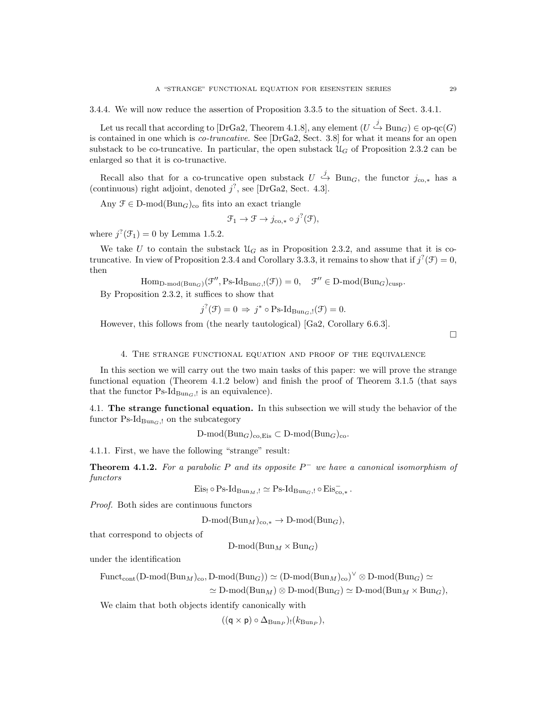3.4.4. We will now reduce the assertion of Proposition 3.3.5 to the situation of Sect. 3.4.1.

Let us recall that according to [DrGa2, Theorem 4.1.8], any element  $(U \stackrel{j}{\hookrightarrow} \text{Bun}_G) \in \text{op-qc}(G)$ is contained in one which is *co-truncative*. See [DrGa2, Sect. 3.8] for what it means for an open substack to be co-truncative. In particular, the open substack  $\mathcal{U}_G$  of Proposition 2.3.2 can be enlarged so that it is co-trunactive.

Recall also that for a co-truncative open substack  $U \stackrel{j}{\hookrightarrow} \text{Bun}_G$ , the functor  $j_{\text{co},*}$  has a (continuous) right adjoint, denoted  $j^?$ , see [DrGa2, Sect. 4.3].

Any  $\mathcal{F} \in \mathcal{D}\text{-mod}(\mathcal{B}\text{un}_G)_{\text{co}}$  fits into an exact triangle

$$
\mathcal{F}_1 \to \mathcal{F} \to j_{\text{co},*} \circ j^?(\mathcal{F}),
$$

where  $j^?(\mathcal{F}_1) = 0$  by Lemma 1.5.2.

We take U to contain the substack  $\mathcal{U}_G$  as in Proposition 2.3.2, and assume that it is cotruncative. In view of Proposition 2.3.4 and Corollary 3.3.3, it remains to show that if  $j^?(\mathcal{F})=0$ , then

$$
\mathrm{Hom}_{D\text{-}\mathrm{mod}(\mathrm{Bun}_G)}(\mathcal{F}'',\mathrm{Ps}\text{-}\mathrm{Id}_{\mathrm{Bun}_G,!}(\mathcal{F}))=0,\quad \mathcal{F}''\in D\text{-}\mathrm{mod}(\mathrm{Bun}_G)_{\mathrm{cusp}}.
$$

By Proposition 2.3.2, it suffices to show that

$$
j^{?}(\mathcal{F}) = 0 \Rightarrow j^* \circ \text{Ps-Id}_{\text{Bun}_G,\mathfrak{l}}(\mathcal{F}) = 0.
$$

However, this follows from (the nearly tautological) [Ga2, Corollary 6.6.3].

 $\Box$ 

4. The strange functional equation and proof of the equivalence

In this section we will carry out the two main tasks of this paper: we will prove the strange functional equation (Theorem 4.1.2 below) and finish the proof of Theorem 3.1.5 (that says that the functor  $Ps\text{-}Id_{Bun_G, l}$  is an equivalence).

4.1. The strange functional equation. In this subsection we will study the behavior of the functor  $\text{Ps-Id}_{\text{Bun}_G,l}$  on the subcategory

 $D\text{-mod}(Bun_G)_{co,Eis} \subset D\text{-mod}(Bun_G)_{co}.$ 

4.1.1. First, we have the following "strange" result:

**Theorem 4.1.2.** For a parabolic P and its opposite  $P^-$  we have a canonical isomorphism of functors

Eis<sub>1</sub> o Ps-Id<sub>Bun<sub>M</sub></sub><sup>1</sup> 
$$
\simeq
$$
 Ps-Id<sub>Bun<sub>G</sub></sub><sup>1</sup>  $\circ$  Eis<sub>co,\*</sub><sup>\*</sup>.

Proof. Both sides are continuous functors

$$
D\text{-mod}(Bun_M)_{\text{co},*} \to D\text{-mod}(Bun_G),
$$

that correspond to objects of

 $D\text{-mod}(Bun_M \times Bun_G)$ 

under the identification

 $\text{Funct}_{\text{cont}}(\text{D-mod}(\text{Bun}_M)_{\text{co}}, \text{D-mod}(\text{Bun}_G)) \simeq (\text{D-mod}(\text{Bun}_M)_{\text{co}})^{\vee} \otimes \text{D-mod}(\text{Bun}_G) \simeq$ 

 $\simeq$  D-mod(Bun<sub>M</sub>)  $\otimes$  D-mod(Bun<sub>G</sub>)  $\simeq$  D-mod(Bun<sub>M</sub>  $\times$  Bun<sub>G</sub>),

We claim that both objects identify canonically with

 $((\mathsf{q} \times \mathsf{p}) \circ \Delta_{\mathrm{Bun}_P}) \cdot (k_{\mathrm{Bun}_P}),$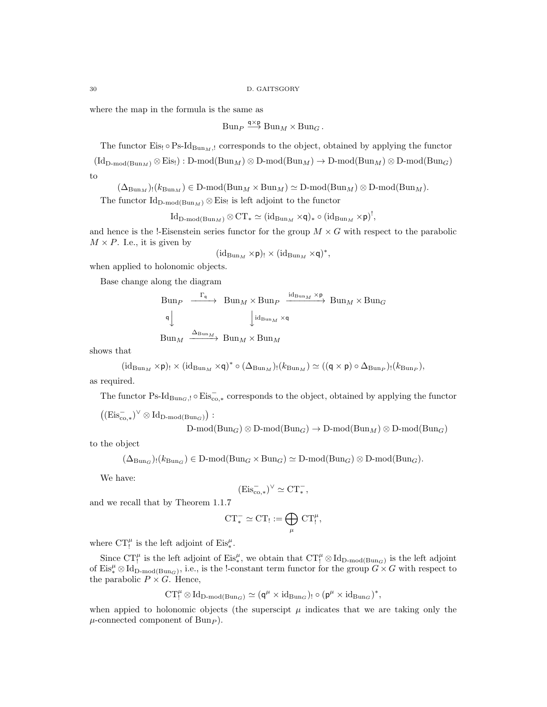where the map in the formula is the same as

$$
Bun_P \stackrel{\mathsf{q}\times\mathsf{p}}{\longrightarrow} Bun_M\times Bun_G.
$$

The functor Eis!  $\circ$  Ps-Id<sub>BunM</sub>,! corresponds to the object, obtained by applying the functor  $(\mathrm{Id}_{D\text{-mod}(Bun_M)} \otimes Eis) : D\text{-mod}(Bun_M) \otimes D\text{-mod}(Bun_M) \to D\text{-mod}(Bun_M) \otimes D\text{-mod}(Bun_G)$ to

 $(\Delta_{\text{Bun}_M})_! (k_{\text{Bun}_M}) \in D\text{-mod}(\text{Bun}_M \times \text{Bun}_M) \simeq D\text{-mod}(\text{Bun}_M) \otimes D\text{-mod}(\text{Bun}_M).$ 

The functor  $\mathrm{Id}_{\mathrm{D-mod}(\mathrm{Bun}_M)} \otimes \mathrm{Eis}$  is left adjoint to the functor

$$
\operatorname{Id}_{D\text{-}\mathrm{mod}(\mathrm{Bun}_M)}\otimes \mathrm{CT}_* \simeq (\operatorname{id}_{\mathrm{Bun}_M} \times \mathsf{q})_* \circ (\operatorname{id}_{\mathrm{Bun}_M} \times \mathsf{p})^!,
$$

and hence is the !-Eisenstein series functor for the group  $M \times G$  with respect to the parabolic  $M \times P$ . I.e., it is given by

$$
(\mathrm{id}_{\mathrm{Bun}_M}\times p)_!\times (\mathrm{id}_{\mathrm{Bun}_M}\times q)^*,
$$

when applied to holonomic objects.

Base change along the diagram

$$
\begin{array}{ccc}\n\text{Bun}_{P} & \xrightarrow{\Gamma_{\mathsf{q}}} & \text{Bun}_{M} \times \text{Bun}_{P} & \xrightarrow{\text{id}_{\text{Bun}_{M}} \times \mathsf{p}} \text{Bun}_{M} \times \text{Bun}_{G} \\
\downarrow^{\text{id}_{\text{Bun}_{M}} \times \mathsf{q}} & & \\
\text{Bun}_{M} & \xrightarrow{\Delta_{\text{Bun}_{M}}} & \text{Bun}_{M} \times \text{Bun}_{M}\n\end{array}
$$

shows that

$$
(\mathrm{id}_{\mathrm{Bun}_M} \times \mathsf{p})_! \times (\mathrm{id}_{\mathrm{Bun}_M} \times \mathsf{q})^* \circ (\Delta_{\mathrm{Bun}_M})_! (k_{\mathrm{Bun}_M}) \simeq ((\mathsf{q} \times \mathsf{p}) \circ \Delta_{\mathrm{Bun}_P})_! (k_{\mathrm{Bun}_P}),
$$

as required.

The functor Ps-Id<sub>BunG</sub>,!  $\circ$  Eis<sub>co,\*</sub> corresponds to the object, obtained by applying the functor

 $((\mathrm{Eis}_{\mathrm{co},*}^-)^{\vee} \otimes \mathrm{Id}_{\mathrm{D-mod}(\mathrm{Bun}_G)})$ :

 $D\text{-mod}(Bun_G) \otimes D\text{-mod}(Bun_G) \to D\text{-mod}(Bun_M) \otimes D\text{-mod}(Bun_G)$ 

to the object

$$
(\Delta_{\text{Bun}_G})_!(k_{\text{Bun}_G}) \in D\text{-mod}(\text{Bun}_G \times \text{Bun}_G) \simeq D\text{-mod}(\text{Bun}_G) \otimes D\text{-mod}(\text{Bun}_G).
$$

We have:

$$
(\mathrm{Eis}_{\mathrm{co},*}^-)^\vee \simeq \mathrm{CT}_*^-,
$$

and we recall that by Theorem 1.1.7

$$
CT_*^- \simeq CT_! := \bigoplus_{\mu} CT_!^{\mu},
$$

where  $CT_!^{\mu}$  is the left adjoint of  $Eis_{*}^{\mu}$ .

Since  $CT_1^{\mu}$  is the left adjoint of  $Eis_{*}^{\mu}$ , we obtain that  $CT_1^{\mu} \otimes Id_{D\text{-mod}(Bun_G)}$  is the left adjoint of  $\mathrm{Eis}_*^{\mu} \otimes \mathrm{Id}_{D\text{-mod}(\mathrm{Bun}_G)}$ , i.e., is the !-constant term functor for the group  $G \times G$  with respect to the parabolic  $P \times G$ . Hence,

$$
\operatorname{CT}_!^\mu\otimes\operatorname{Id}_{D\text{-}\mathrm{mod}(\operatorname{Bun}_G)}\simeq(\mathsf{q}^\mu\times\operatorname{id}_{\operatorname{Bun}_G})_!\circ(\mathsf{p}^\mu\times\operatorname{id}_{\operatorname{Bun}_G})^*,
$$

when appied to holonomic objects (the superscipt  $\mu$  indicates that we are taking only the  $\mu$ -connected component of Bun<sub>P</sub>).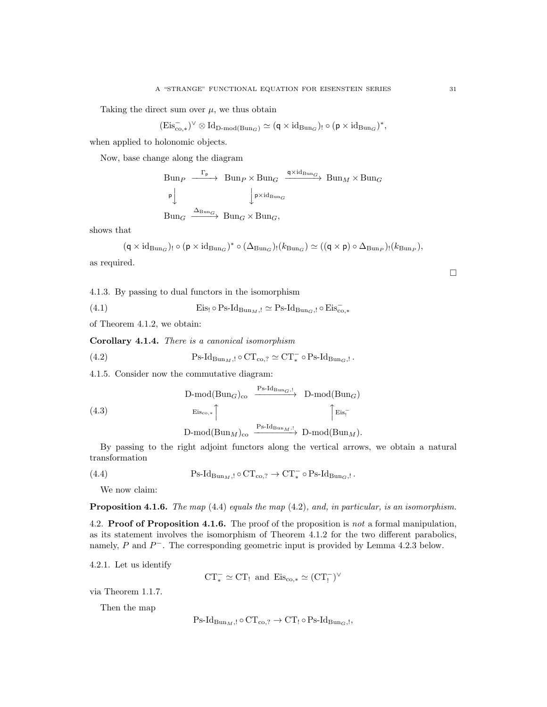Taking the direct sum over  $\mu$ , we thus obtain

$$
(\mathrm{Eis}_{\mathrm{co},*}^-)^\vee \otimes \mathrm{Id}_{\mathrm{D}\text{-}\mathrm{mod}(\mathrm{Bun}_G)} \simeq (\mathsf{q} \times \mathrm{id}_{\mathrm{Bun}_G})_! \circ (\mathsf{p} \times \mathrm{id}_{\mathrm{Bun}_G})^*,
$$

when applied to holonomic objects.

Now, base change along the diagram

$$
\begin{array}{ccc}\n\text{Bun}_{P} & \xrightarrow{\Gamma_{p}} & \text{Bun}_{P} \times \text{Bun}_{G} & \xrightarrow{q \times id_{\text{Bun}_{G}}} & \text{Bun}_{M} \times \text{Bun}_{G} \\
\downarrow^{\mathsf{p}} & \downarrow^{\mathsf{p} \times id_{\text{Bun}_{G}}} & \text{Bun}_{M} \times \text{Bun}_{G} \\
\text{Bun}_{G} & \xrightarrow{\Delta_{\text{Bun}_{G}}} & \text{Bun}_{G} \times \text{Bun}_{G},\n\end{array}
$$

shows that

$$
(\mathsf{q} \times \mathrm{id}_{\mathrm{Bun}_G})_! \circ (\mathsf{p} \times \mathrm{id}_{\mathrm{Bun}_G})^* \circ (\Delta_{\mathrm{Bun}_G})_!(k_{\mathrm{Bun}_G}) \simeq ((\mathsf{q} \times \mathsf{p}) \circ \Delta_{\mathrm{Bun}_P})_!(k_{\mathrm{Bun}_P}),
$$

as required.

4.1.3. By passing to dual functors in the isomorphism

(4.1)  $\text{Eis}_1 \circ \text{Ps-Id}_{\text{Bun}_M,!} \simeq \text{Ps-Id}_{\text{Bun}_G,!} \circ \text{Eis}_{\text{co},*}^-$ 

of Theorem 4.1.2, we obtain:

Corollary 4.1.4. There is a canonical isomorphism

(4.2) 
$$
P_{S\text{-}Id_{\text{Bun}_M,!}} \circ \text{CT}_{\text{co},?} \simeq \text{CT}_{*}^{-} \circ P_{S\text{-}Id_{\text{Bun}_G,!}}.
$$

4.1.5. Consider now the commutative diagram:

(4.3)  
\n
$$
\begin{array}{ccc}\n\text{D-mod}(\text{Bun}_G)_{\text{co}} & \xrightarrow{\text{Ps-Id}_{\text{Bun}_G, !}} & \text{D-mod}(\text{Bun}_G) \\
\downarrow^{\text{Eis}_{\text{co},*}} & \uparrow^{\text{Eis}_{\text{I}}}\n\end{array}
$$
\n
$$
\begin{array}{ccc}\n\text{D-mod}(\text{Bun}_M)_{\text{co}} & \xrightarrow{\text{Ps-Id}_{\text{Bun}_M, !}} & \text{D-mod}(\text{Bun}_M).\n\end{array}
$$

By passing to the right adjoint functors along the vertical arrows, we obtain a natural transformation

(4.4) 
$$
Ps\text{-}Id_{\text{Bun}_M,!}\circ \text{CT}_{\text{co},?}\to \text{CT}^-_*\circ \text{Ps\text{-}Id}_{\text{Bun}_G,!}.
$$

We now claim:

Proposition 4.1.6. The map (4.4) equals the map (4.2), and, in particular, is an isomorphism.

4.2. **Proof of Proposition 4.1.6.** The proof of the proposition is not a formal manipulation, as its statement involves the isomorphism of Theorem 4.1.2 for the two different parabolics, namely,  $P$  and  $P^-$ . The corresponding geometric input is provided by Lemma 4.2.3 below.

4.2.1. Let us identify

 $CT_*^- \simeq CT_!$  and  $Eis_{co,*} \simeq (CT_!^-)^{\vee}$ 

via Theorem 1.1.7.

Then the map

$$
\operatorname{Ps-Id}_{\operatorname{Bun}_M, !} \circ \operatorname{CT}_{\operatorname{co}, ?} \to \operatorname{CT}_! \circ \operatorname{Ps-Id}_{\operatorname{Bun}_G, !},
$$

 $\Box$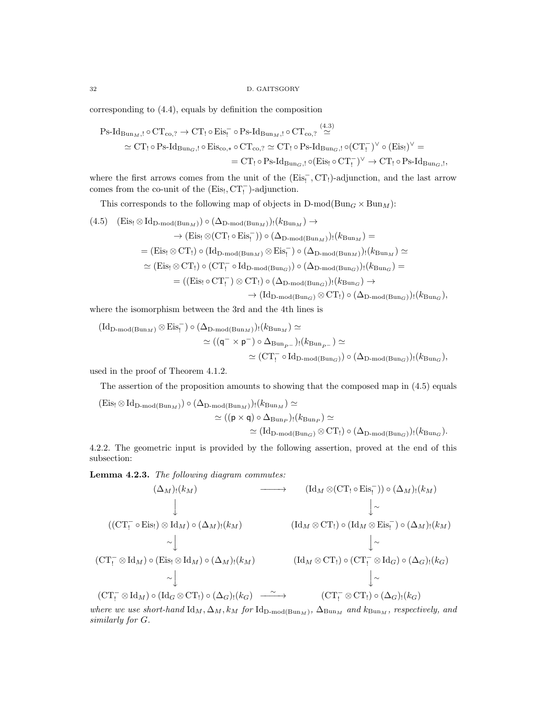corresponding to (4.4), equals by definition the composition

$$
Ps\text{-}Id_{Bun_M, !}\circ CT_{co, ?} \to CT_! \circ Eis_! \circ Ps\text{-}Id_{Bun_M, !} \circ CT_{co, ?} \stackrel{(4.3)}{\simeq} \simeq CT_! \circ Ps\text{-}Id_{Bun_G, !} \circ Eis_{co, *} \circ CT_{co, ?} \simeq CT_! \circ Ps\text{-}Id_{Bun_G, !} \circ (CT_!^\frown)^\vee \circ (Eis_!)^\vee = \simeq CT_! \circ Ps\text{-}Id_{Bun_G, !} \circ (Eis_! \circ CT_!)^\vee \to CT_! \circ Ps\text{-}Id_{Bun_G, !}
$$

where the first arrows comes from the unit of the  $(Eis_!^-, CT_!)$ -adjunction, and the last arrow comes from the co-unit of the  $(Eis<sub>1</sub>, CT<sub>1</sub><sup>-</sup>)$ -adjunction.

,

This corresponds to the following map of objects in  $D\text{-mod}(Bun_G \times Bun_M)$ :

(4.5) 
$$
\begin{aligned} \text{(4.5)} \quad & \text{(Eis}_{1} \otimes \text{Id}_{\text{D-mod}(\text{Bun}_{M})}) \circ (\Delta_{\text{D-mod}(\text{Bun}_{M})}) \colon (k_{\text{Bun}_{M}}) \to \\ &\to (\text{Eis}_{1} \otimes (\text{CT}_{1} \circ \text{Eis}_{1}^{-})) \circ (\Delta_{\text{D-mod}(\text{Bun}_{M})}) \colon (k_{\text{Bun}_{M}}) = \\ &= (\text{Eis}_{1} \otimes \text{CT}_{1}) \circ (\text{Id}_{\text{D-mod}(\text{Bun}_{M})} \otimes \text{Eis}_{1}^{-}) \circ (\Delta_{\text{D-mod}(\text{Bun}_{M})}) \colon (k_{\text{Bun}_{M}}) \simeq \\ &\simeq (\text{Eis}_{1} \otimes \text{CT}_{1}) \circ (\text{CT}_{1}^{-} \circ \text{Id}_{\text{D-mod}(\text{Bun}_{G})}) \circ (\Delta_{\text{D-mod}(\text{Bun}_{G})}) \colon (k_{\text{Bun}_{G}}) = \\ &= ((\text{Eis}_{1} \circ \text{CT}_{1}^{-}) \otimes \text{CT}_{1}) \circ (\Delta_{\text{D-mod}(\text{Bun}_{G})}) \colon (k_{\text{Bun}_{G}}) \to \\ &\to (\text{Id}_{\text{D-mod}(\text{Bun}_{G})} \otimes \text{CT}_{1}) \circ (\Delta_{\text{D-mod}(\text{Bun}_{G})}) \colon (k_{\text{Bun}_{G}}), \end{aligned}
$$

where the isomorphism between the 3rd and the 4th lines is

$$
\begin{aligned} (\mathrm{Id}_{\mathrm{D}\text{-}\mathrm{mod}(\mathrm{Bun}_M)}\otimes \mathrm{Eis}^-_!)\circ(\Delta_{\mathrm{D}\text{-}\mathrm{mod}(\mathrm{Bun}_M)})_!(k_{\mathrm{Bun}_M})&\simeq\\ &\simeq ((\mathsf{q}^-\times\mathsf{p}^-)\circ\Delta_{\mathrm{Bun}_{P^-}})_!(k_{\mathrm{Bun}_{P^-}})\simeq\\ &\simeq (\mathrm{CT}^-_!\circ \mathrm{Id}_{\mathrm{D}\text{-}\mathrm{mod}(\mathrm{Bun}_G)})\circ(\Delta_{\mathrm{D}\text{-}\mathrm{mod}(\mathrm{Bun}_G)})_!(k_{\mathrm{Bun}_G}), \end{aligned}
$$

used in the proof of Theorem 4.1.2.

The assertion of the proposition amounts to showing that the composed map in (4.5) equals

$$
\begin{aligned} \text{(Eis}_{!} \otimes \text{Id}_{\text{D-mod}(\text{Bun}_M)}) \circ (\Delta_{\text{D-mod}(\text{Bun}_M)})_{!}(k_{\text{Bun}_M}) &\simeq \\ &\simeq ((\mathsf{p} \times \mathsf{q}) \circ \Delta_{\text{Bun}_P})_{!}(k_{\text{Bun}_P}) &\simeq \\ &\simeq (\text{Id}_{\text{D-mod}(\text{Bun}_G)} \otimes \text{CT}_{!}) \circ (\Delta_{\text{D-mod}(\text{Bun}_G)})_{!}(k_{\text{Bun}_G}). \end{aligned}
$$

4.2.2. The geometric input is provided by the following assertion, proved at the end of this subsection:

Lemma 4.2.3. The following diagram commutes:

$$
(\Delta_M)!(k_M) \longrightarrow (\mathrm{Id}_M \otimes (\mathrm{CT}_! \circ \mathrm{Eis}_!)) \circ (\Delta_M)!(k_M)
$$
  
\n
$$
((\mathrm{CT}_! \circ \mathrm{Eis}_!) \otimes \mathrm{Id}_M) \circ (\Delta_M)!(k_M)
$$
  
\n
$$
\sim \downarrow \qquad (\mathrm{Id}_M \otimes \mathrm{CT}_!) \circ (\mathrm{Id}_M \otimes \mathrm{Eis}_! \circ \circ (\Delta_M)!(k_M)
$$
  
\n
$$
(\mathrm{CT}_! \otimes \mathrm{Id}_M) \circ (\mathrm{Eis}_! \otimes \mathrm{Id}_M) \circ (\Delta_M)!(k_M)
$$
  
\n
$$
(\mathrm{Id}_M \otimes \mathrm{CT}_!) \circ (\mathrm{CT}_! \otimes \mathrm{Id}_G) \circ (\Delta_G)!(k_G)
$$
  
\n
$$
\sim \downarrow \qquad \qquad \downarrow \sim
$$
  
\n
$$
(\mathrm{CT}_! \otimes \mathrm{Id}_M) \circ (\mathrm{Id}_G \otimes \mathrm{CT}_!) \circ (\Delta_G)!(k_G) \longrightarrow (\mathrm{CT}_! \otimes \mathrm{CT}_!) \circ (\Delta_G)!(k_G)
$$

where we use short-hand  $\mathrm{Id}_M$ ,  $\Delta_M$ ,  $k_M$  for  $\mathrm{Id}_{\mathrm{D-mod}(\mathrm{Bun}_M)}$ ,  $\Delta_{\mathrm{Bun}_M}$  and  $k_{\mathrm{Bun}_M}$ , respectively, and similarly for G.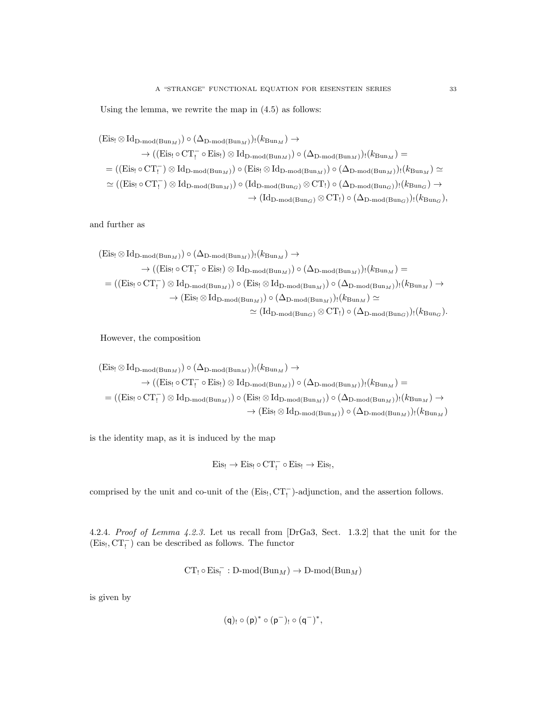Using the lemma, we rewrite the map in (4.5) as follows:

$$
\begin{aligned} \text{(Eis}_!\otimes\text{Id}_{\text{D-mod}(\text{Bun}_M)})\circ(\Delta_{\text{D-mod}(\text{Bun}_M)})_!(k_{\text{Bun}_M}) &\to \\ &\to ((\text{Eis}_!\circ\text{CT}_!\circ\text{Eis}_!) \otimes \text{Id}_{\text{D-mod}(\text{Bun}_M)})\circ(\Delta_{\text{D-mod}(\text{Bun}_M)})_!(k_{\text{Bun}_M}) = \\ &=(\text{(Eis}_!\circ\text{CT}_!\circ)\otimes\text{Id}_{\text{D-mod}(\text{Bun}_M)})\circ(\text{Eis}_!\otimes\text{Id}_{\text{D-mod}(\text{Bun}_M)})\circ(\Delta_{\text{D-mod}(\text{Bun}_M)})_!(k_{\text{Bun}_M})\simeq \\ &\simeq ((\text{Eis}_!\circ\text{CT}_!\circ)\otimes\text{Id}_{\text{D-mod}(\text{Bun}_M)})\circ(\text{Id}_{\text{D-mod}(\text{Bun}_G)}\otimes\text{CT}_!)\circ(\Delta_{\text{D-mod}(\text{Bun}_G)})_!(k_{\text{Bun}_G}) \to \\ &\to (\text{Id}_{\text{D-mod}(\text{Bun}_G)}\otimes\text{CT}_!) \circ(\Delta_{\text{D-mod}(\text{Bun}_G)})_!(k_{\text{Bun}_G}), \end{aligned}
$$

and further as

$$
\begin{split} \text{(Eis}_{!}\otimes \text{Id}_{\text{D-mod}(\text{Bun}_{M})})\circ (\Delta_{\text{D-mod}(\text{Bun}_{M})})_{!}(k_{\text{Bun}_{M}}) &\to \\ &\to ((\text{Eis}_{!}\circ \text{CT}_{!}^{-}\circ \text{Eis}_{!})\otimes \text{Id}_{\text{D-mod}(\text{Bun}_{M})})\circ (\Delta_{\text{D-mod}(\text{Bun}_{M})})_{!}(k_{\text{Bun}_{M}}) = \\ = & ((\text{Eis}_{!}\circ \text{CT}_{!}^{-})\otimes \text{Id}_{\text{D-mod}(\text{Bun}_{M})})\circ (\text{Eis}_{!}\otimes \text{Id}_{\text{D-mod}(\text{Bun}_{M})})\circ (\Delta_{\text{D-mod}(\text{Bun}_{M})})_{!}(k_{\text{Bun}_{M}}) \to \\ &\to (\text{Eis}_{!}\otimes \text{Id}_{\text{D-mod}(\text{Bun}_{M})})\circ (\Delta_{\text{D-mod}(\text{Bun}_{M})})_{!}(k_{\text{Bun}_{M}}) \simeq \\ &\simeq (\text{Id}_{\text{D-mod}(\text{Bun}_{G})}\otimes \text{CT}_{!})\circ (\Delta_{\text{D-mod}(\text{Bun}_{G})})_{!}(k_{\text{Bun}_{G}}). \end{split}
$$

However, the composition

$$
\begin{aligned} \text{(Eis}_{!}\otimes \text{Id}_{\text{D-mod}(\text{Bun}_M)}) &\circ (\Delta_{\text{D-mod}(\text{Bun}_M)})_{!}(k_{\text{Bun}_M}) \rightarrow \\ &\rightarrow ((\text{Eis}_{!}\circ \text{CT}_{!}^{-}\circ \text{Eis}_{!})\otimes \text{Id}_{\text{D-mod}(\text{Bun}_M)}) \circ (\Delta_{\text{D-mod}(\text{Bun}_M)})_{!}(k_{\text{Bun}_M}) = \\ &= ((\text{Eis}_{!}\circ \text{CT}_{!}^{-})\otimes \text{Id}_{\text{D-mod}(\text{Bun}_M)}) \circ (\text{Eis}_{!}\otimes \text{Id}_{\text{D-mod}(\text{Bun}_M)}) \circ (\Delta_{\text{D-mod}(\text{Bun}_M)})_{!}(k_{\text{Bun}_M}) \rightarrow \\ &\rightarrow (\text{Eis}_{!}\otimes \text{Id}_{\text{D-mod}(\text{Bun}_M)}) \circ (\Delta_{\text{D-mod}(\text{Bun}_M)})_{!}(k_{\text{Bun}_M}) \end{aligned}
$$

is the identity map, as it is induced by the map

$$
\mathrm{Eis}_! \rightarrow \mathrm{Eis}_! \circ \mathrm{CT}_!^- \circ \mathrm{Eis}_! \rightarrow \mathrm{Eis}_!,
$$

comprised by the unit and co-unit of the  $(Eis_l, CT_l^-)$ -adjunction, and the assertion follows.

4.2.4. Proof of Lemma 4.2.3. Let us recall from [DrGa3, Sect. 1.3.2] that the unit for the  $(\mathrm{Eis}_!,\mathrm{CT}_!^-)$  can be described as follows. The functor

$$
\operatorname{CT}_!\circ \operatorname{Eis}^-_!: \operatorname{D-mod}(\operatorname{Bun}_M) \to \operatorname{D-mod}(\operatorname{Bun}_M)
$$

is given by

$$
(q)_!\circ (p)^*\circ (p^-)_!\circ (q^-)^*,
$$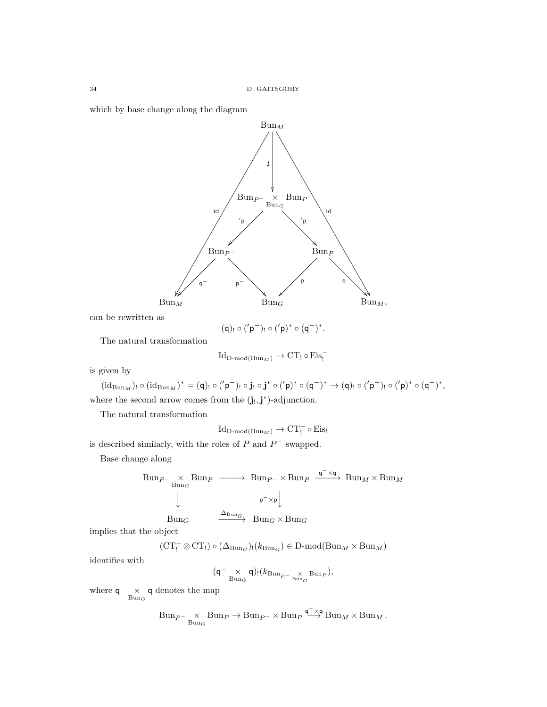which by base change along the diagram



can be rewritten as

 $(q)_! \circ ('p^-)_! \circ ('p)^* \circ (q^-)^*.$ 

The natural transformation

$$
Id_{D\text{-mod}(Bun_M)} \to CT_! \circ Eis_!
$$

is given by

 $(\mathrm{id}_{\mathrm{Bun}_M})_! \circ (\mathrm{id}_{\mathrm{Bun}_M})^* = (\mathsf{q})_! \circ (^\prime \mathsf{p}^-)_! \circ \mathbf{j}_! \circ \mathbf{j}^* \circ (^\prime \mathsf{p})^* \circ (\mathsf{q}^-)^* \to (\mathsf{q})_! \circ (^\prime \mathsf{p}^-)_! \circ (^\prime \mathsf{p})^* \circ (\mathsf{q}^-)^*,$ where the second arrow comes from the  $(j_!, j^*)$ -adjunction.

The natural transformation

 $\mathrm{Id}_{\mathrm{D\text{-}mod}(\mathrm{Bun}_M)}\to \mathrm{CT}_!^{-} \circ \mathrm{Eis}_!$ 

is described similarly, with the roles of  $P$  and  $P^-$  swapped.

Base change along

$$
\begin{array}{ccc}\n\text{Bun}_{P^{-}} \times \text{Bun}_{P} & \longrightarrow & \text{Bun}_{P^{-}} \times \text{Bun}_{P} \xrightarrow{\mathsf{q}^{-} \times \mathsf{q}} \text{Bun}_{M} \times \text{Bun}_{M} \\
\downarrow & & \downarrow \\
\text{Bun}_{G} & \xrightarrow{\Delta_{\text{Bun}_{G}}} & \text{Bun}_{G} \times \text{Bun}_{G}\n\end{array}
$$

$$
\xrightarrow{\Delta_{\text{Bun}_G}} \text{Bun}_G \times \text{Bun}_G
$$

implies that the object

$$
(\operatorname{CT}_!^-\otimes \operatorname{CT}_!) \circ (\Delta_{\operatorname{Bun}_G})_!(k_{\operatorname{Bun}_G}) \in \operatorname{D-mod}(\operatorname{Bun}_M\times \operatorname{Bun}_M)
$$

identifies with

$$
({\mathsf q}^-\underset{\operatorname{Bun}_G}{\times}{\mathsf q})_!(k_{\operatorname{Bun}_{P^-\underset{\operatorname{Bun}_G}{\times}}{\operatorname{Bun}_P}}),
$$

where  $q^{-}$   $\times$  q denotes the map

$$
\text{Bun}_{P^-\underset{\text{Bun}_G}{\times}}\text{Bun}_P\to\text{Bun}_{P^-\times}\text{Bun}_P\overset{\mathsf{q}^-\times\mathsf{q}}{\longrightarrow}\text{Bun}_M\times\text{Bun}_M\,.
$$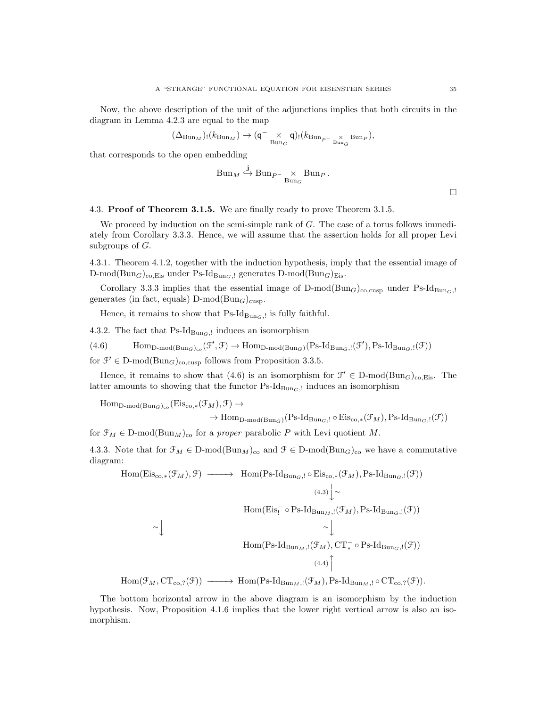Now, the above description of the unit of the adjunctions implies that both circuits in the diagram in Lemma 4.2.3 are equal to the map

$$
(\Delta_{\mathrm{Bun}_M})_! (k_{\mathrm{Bun}_M}) \to (\mathsf{q}^- \underset{\mathrm{Bun}_G}{\times} \mathsf{q})_! (k_{\mathrm{Bun}_{P^-}} \underset{\mathrm{Bun}_G}{\times} \mathrm{Bun}_P),
$$

that corresponds to the open embedding

$$
Bun_M \xrightarrow{j} Bun_{P^-} \times \text{Bun}_P.
$$

 $\Box$ 

4.3. Proof of Theorem 3.1.5. We are finally ready to prove Theorem 3.1.5.

We proceed by induction on the semi-simple rank of G. The case of a torus follows immediately from Corollary 3.3.3. Hence, we will assume that the assertion holds for all proper Levi subgroups of  $G$ .

4.3.1. Theorem 4.1.2, together with the induction hypothesis, imply that the essential image of D-mod( $\text{Bun}_G$ )<sub>co,Eis</sub> under Ps-Id<sub>BunG</sub>, generates D-mod( $\text{Bun}_G$ )<sub>Eis</sub>.

Corollary 3.3.3 implies that the essential image of  $D\text{-mod}(Bun_G)_{\text{co,cusp}}$  under Ps-Id<sub>BunG</sub>,! generates (in fact, equals)  $D\text{-mod}(Bun_G)_{cusp}$ .

Hence, it remains to show that  $\text{Ps-Id}_{\text{Bun}_G,l}$  is fully faithful.

4.3.2. The fact that  $\text{Ps-Id}_{\text{Bun}_G, !}$  induces an isomorphism

 $(4.6)$  Hom<sub>D-mod</sub>( $_{\text{Bun}_G}$ )<sub>co</sub> $(\mathcal{F}', \mathcal{F}) \to \text{Hom}_{\text{D-mod}(\text{Bun}_G)}(\text{Ps-Id}_{\text{Bun}_G,!}(\mathcal{F}'), \text{Ps-Id}_{\text{Bun}_G,!}(\mathcal{F}))$ 

for  $\mathcal{F}' \in \mathcal{D}\text{-mod}(\text{Bun}_G)_{\text{co,cusp}}$  follows from Proposition 3.3.5.

Hence, it remains to show that (4.6) is an isomorphism for  $\mathcal{F}' \in D\text{-mod}(Bun_G)_{\text{co,Eis}}$ . The latter amounts to showing that the functor  $\text{Ps-Id}_{\text{Bun}_G,l}$  induces an isomorphism

 $\text{Hom}_{\text{D-mod}(\text{Bun}_G)_{co}}(\text{Eis}_{co,*}(\mathcal{F}_M), \mathcal{F}) \rightarrow$ 

$$
\to \mathrm{Hom}_{\mathrm{D\text{-}mod}(\mathrm{Bun}_G)}(\mathrm{Ps}\text{-}\mathrm{Id}_{\mathrm{Bun}_G,\mathcal{I}}\circ \mathrm{Eis}_{\mathrm{co},*}(\mathfrak{F}_M),\mathrm{Ps}\text{-}\mathrm{Id}_{\mathrm{Bun}_G,\mathcal{I}}(\mathfrak{F}))
$$

for  $\mathcal{F}_M \in \mathcal{D}\text{-mod}(\text{Bun}_M)_{\text{co}}$  for a proper parabolic P with Levi quotient M.

4.3.3. Note that for  $\mathcal{F}_M \in \mathbb{D}$ -mod $(\text{Bun}_M)_{\text{co}}$  and  $\mathcal{F} \in \mathbb{D}$ -mod $(\text{Bun}_G)_{\text{co}}$  we have a commutative diagram:

Hom(Eis<sub>co,\*</sub>(
$$
\mathcal{F}_M
$$
),  $\mathcal{F}$ )  $\longrightarrow$  Hom(Ps-Id<sub>Bun<sub>G</sub>,!}\circ Eis<sub>co,\*</sub>( $\mathcal{F}_M$ ), Ps-Id<sub>Bun<sub>G</sub>,!( $\mathcal{F}$ ))  
\n
$$
(4.3)\downarrow \sim
$$
  
\nHom(Eis<sub>1</sub><sup>-</sup> o Ps-Id<sub>Bun<sub>M</sub>,!( $\mathcal{F}_M$ ), Ps-Id<sub>Bun<sub>G</sub>,!( $\mathcal{F}$ ))  
\n
$$
\sim \downarrow
$$
  
\nHom(Ps-Id<sub>Bun<sub>M</sub>,!( $\mathcal{F}_M$ ), CT<sub>\*</sub><sup>-</sup> o Ps-Id<sub>Bun<sub>G</sub>,!( $\mathcal{F}$ ))  
\n
$$
(4.4)\uparrow
$$
  
\nHom( $\mathcal{F}_M$ , CT<sub>co</sub>,<sub>2</sub>( $\mathcal{F}$ ))  $\longrightarrow$  Hom(Ps-Id<sub>Bun<sub>M</sub>,!( $\mathcal{F}_M$ ), Ps-Id<sub>Bun<sub>M</sub>,! o CT<sub>co</sub>,<sub>2</sub>( $\mathcal{F}$ )).</sub></sub></sub></sub></sub></sub></sub></sub>

The bottom horizontal arrow in the above diagram is an isomorphism by the induction hypothesis. Now, Proposition 4.1.6 implies that the lower right vertical arrow is also an isomorphism.